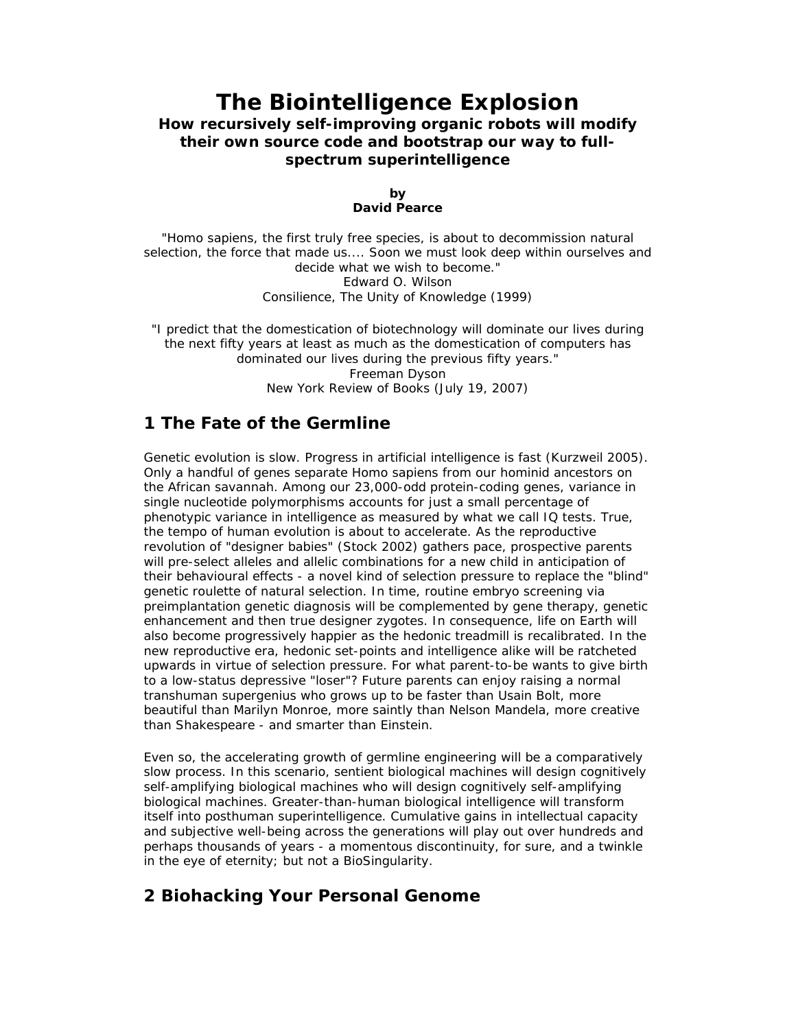# **The Biointelligence Explosion**

### **How recursively self-improving organic robots will modify their own source code and bootstrap our way to fullspectrum superintelligence**

#### **by David Pearce**

*"Homo sapiens, the first truly free species, is about to decommission natural selection, the force that made us.... Soon we must look deep within ourselves and decide what we wish to become."* Edward O. Wilson *Consilience, The Unity of Knowledge* (1999)

*"I predict that the domestication of biotechnology will dominate our lives during the next fifty years at least as much as the domestication of computers has dominated our lives during the previous fifty years."* Freeman Dyson *New York Review of Books* (July 19, 2007)

## **1 The Fate of the Germline**

Genetic evolution is slow. Progress in artificial intelligence is fast (Kurzweil 2005). Only a handful of genes separate *Homo sapiens* from our hominid ancestors on the African savannah. Among our 23,000-odd protein-coding genes, variance in single nucleotide polymorphisms accounts for just a small percentage of phenotypic variance in intelligence as measured by what we call IQ tests. True, the tempo of human evolution is about to accelerate. As the reproductive revolution of "designer babies" (Stock 2002) gathers pace, prospective parents will pre-select alleles and allelic combinations for a new child *in anticipation of* their behavioural effects - a novel kind of selection pressure to replace the "blind" genetic roulette of natural selection. In time, routine embryo screening via preimplantation genetic diagnosis will be complemented by gene therapy, genetic enhancement and then true designer zygotes. In consequence, life on Earth will also become progressively happier as the hedonic treadmill is recalibrated. In the new reproductive era, hedonic set-points and intelligence alike will be ratcheted upwards in virtue of selection pressure. For what parent-to-be wants to give birth to a low-status depressive "loser"? Future parents can enjoy raising a normal transhuman supergenius who grows up to be faster than Usain Bolt, more beautiful than Marilyn Monroe, more saintly than Nelson Mandela, more creative than Shakespeare - and smarter than Einstein.

Even so, the accelerating growth of germline engineering will be a *comparatively* slow process. In this scenario, sentient biological machines will design cognitively self-amplifying biological machines who will design cognitively self-amplifying biological machines. Greater-than-human biological intelligence will transform itself into posthuman superintelligence. Cumulative gains in intellectual capacity and subjective well-being across the generations will play out over hundreds and perhaps thousands of years - a momentous discontinuity, for sure, and a twinkle in the eye of eternity; but not a BioSingularity.

## **2 Biohacking Your Personal Genome**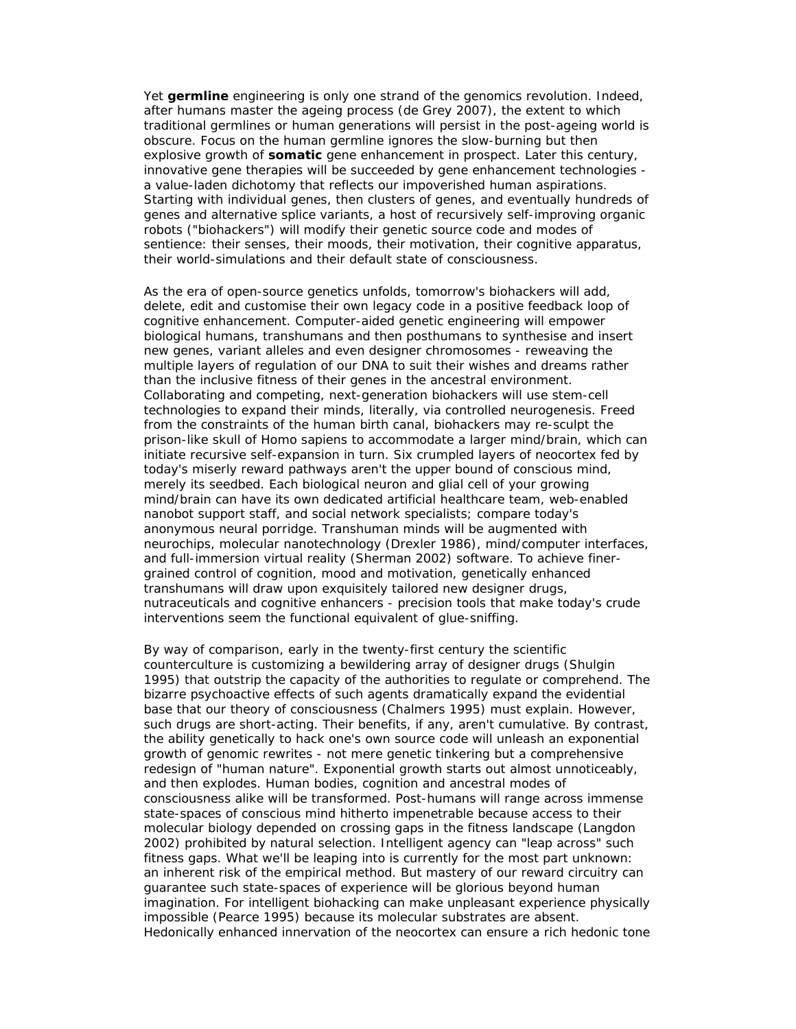Yet **germline** engineering is only one strand of the genomics revolution. Indeed, after humans master the ageing process (de Grey 2007), the extent to which traditional germlines or human generations will persist in the post-ageing world is obscure. Focus on the human germline ignores the slow-burning but then explosive growth of **somatic** gene enhancement in prospect. Later this century, innovative gene *therapies* will be succeeded by gene *enhancement* technologies a value-laden dichotomy that reflects our impoverished human aspirations. Starting with individual genes, then clusters of genes, and eventually hundreds of genes and alternative splice variants, a host of recursively self-improving organic robots ("biohackers") will modify their genetic source code and modes of sentience: their senses, their moods, their motivation, their cognitive apparatus, their world-simulations and their default state of consciousness.

As the era of open-source genetics unfolds, tomorrow's biohackers will add, delete, edit and customise their own legacy code in a positive feedback loop of cognitive enhancement. Computer-aided genetic engineering will empower biological humans, transhumans and then posthumans to synthesise and insert new genes, variant alleles and even designer chromosomes - reweaving the multiple layers of regulation of our DNA to suit their wishes and dreams rather than the inclusive fitness of their genes in the ancestral environment. Collaborating and competing, next-generation biohackers will use stem-cell technologies to expand their minds, literally, via controlled neurogenesis. Freed from the constraints of the human birth canal, biohackers may re-sculpt the prison-like skull of *Homo sapiens* to accommodate a larger mind/brain, which can initiate recursive self-expansion in turn. Six crumpled layers of neocortex fed by today's miserly reward pathways aren't the upper bound of conscious mind, merely its seedbed. Each biological neuron and glial cell of your growing mind/brain can have its own dedicated artificial healthcare team, web-enabled nanobot support staff, and social network specialists; compare today's anonymous neural porridge. Transhuman minds will be augmented with neurochips, molecular nanotechnology (Drexler 1986), mind/computer interfaces, and full-immersion virtual reality (Sherman 2002) software. To achieve finergrained control of cognition, mood and motivation, genetically enhanced transhumans will draw upon exquisitely tailored new designer drugs, nutraceuticals and cognitive enhancers - precision tools that make today's crude interventions seem the functional equivalent of glue-sniffing.

By way of comparison, early in the twenty-first century the scientific counterculture is customizing a bewildering array of designer drugs (Shulgin 1995) that outstrip the capacity of the authorities to regulate or comprehend. The bizarre psychoactive effects of such agents dramatically expand the evidential base that our theory of consciousness (Chalmers 1995) must explain. However, such drugs are short-acting. Their benefits, if any, aren't cumulative. By contrast, the ability genetically to hack one's own source code will unleash an exponential growth of genomic rewrites - not mere genetic tinkering but a comprehensive redesign of "human nature". Exponential growth starts out almost unnoticeably, and then explodes. Human bodies, cognition and ancestral modes of consciousness alike will be transformed. Post-humans will range across immense state-spaces of conscious mind hitherto impenetrable because access to their molecular biology depended on crossing gaps in the fitness landscape (Langdon 2002) prohibited by natural selection. Intelligent agency can "leap across" such fitness gaps. What we'll be leaping into is currently for the most part unknown: an inherent risk of the empirical method. But mastery of our reward circuitry can guarantee such state-spaces of experience will be glorious beyond human imagination. For intelligent biohacking can make unpleasant experience physically impossible (Pearce 1995) because its molecular substrates are absent. Hedonically enhanced innervation of the neocortex can ensure a rich hedonic tone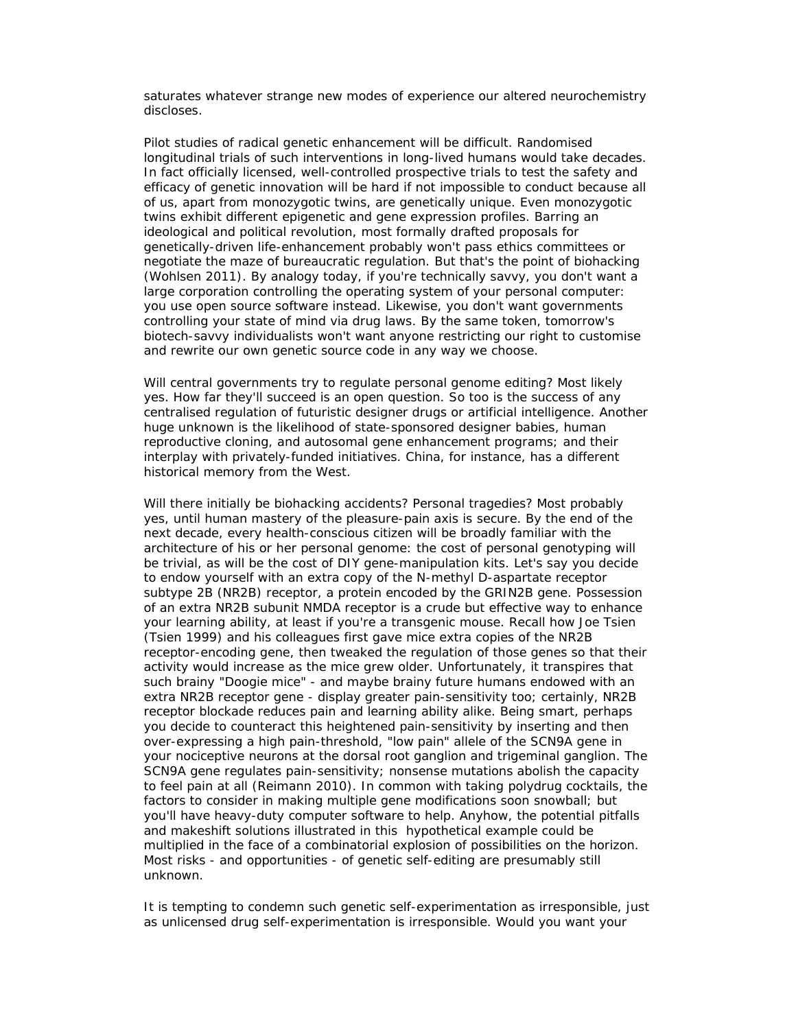saturates whatever strange new modes of experience our altered neurochemistry discloses.

Pilot studies of radical genetic enhancement will be difficult. Randomised longitudinal trials of such interventions in long-lived humans would take decades. In fact officially licensed, well-controlled prospective trials to test the safety and efficacy of genetic innovation will be hard if not impossible to conduct because all of us, apart from monozygotic twins, are genetically unique. Even monozygotic twins exhibit different epigenetic and gene expression profiles. Barring an ideological and political revolution, most formally drafted proposals for genetically-driven life-enhancement probably won't pass ethics committees or negotiate the maze of bureaucratic regulation. But that's the point of biohacking (Wohlsen 2011). By analogy today, if you're technically savvy, you don't want a large corporation controlling the operating system of your personal computer: you use open source software instead. Likewise, you don't want governments controlling your state of mind via drug laws. By the same token, tomorrow's biotech-savvy individualists won't want anyone restricting our right to customise and rewrite our own genetic source code in any way we choose.

Will central governments try to regulate personal genome editing? Most likely yes. How far they'll succeed is an open question. So too is the success of any centralised regulation of futuristic designer drugs or artificial intelligence. Another huge unknown is the likelihood of state-sponsored designer babies, human reproductive cloning, and autosomal gene enhancement programs; and their interplay with privately-funded initiatives. China, for instance, has a different historical memory from the West.

Will there initially be biohacking accidents? Personal tragedies? Most probably yes, until human mastery of the pleasure-pain axis is secure. By the end of the next decade, every health-conscious citizen will be broadly familiar with the architecture of his or her personal genome: the cost of personal genotyping will be trivial, as will be the cost of DIY gene-manipulation kits. Let's say you decide to endow yourself with an extra copy of the N-methyl D-aspartate receptor subtype 2B (NR2B) receptor, a protein encoded by the GRIN2B gene. Possession of an extra NR2B subunit NMDA receptor is a crude but effective way to enhance your learning ability, at least if you're a transgenic mouse. Recall how Joe Tsien (Tsien 1999) and his colleagues first gave mice extra copies of the NR2B receptor-encoding gene, then tweaked the regulation of those genes so that their activity would increase as the mice grew older. Unfortunately, it transpires that such brainy "Doogie mice" - and maybe brainy future humans endowed with an extra NR2B receptor gene - display greater pain-sensitivity too; certainly, NR2B receptor *blockade* reduces pain and learning ability alike. Being smart, perhaps you decide to counteract this heightened pain-sensitivity by inserting and then over-expressing a high pain-threshold, "low pain" allele of the SCN9A gene in your nociceptive neurons at the dorsal root ganglion and trigeminal ganglion. The SCN9A gene regulates pain-sensitivity; nonsense mutations abolish the capacity to feel pain at all (Reimann 2010). In common with taking polydrug cocktails, the factors to consider in making multiple gene modifications soon snowball; but you'll have heavy-duty computer software to help. Anyhow, the potential pitfalls and makeshift solutions illustrated in this hypothetical example could be multiplied in the face of a combinatorial explosion of possibilities on the horizon. Most risks - and opportunities - of genetic self-editing are presumably still unknown.

It is tempting to condemn such genetic self-experimentation as irresponsible, just as unlicensed drug self-experimentation is irresponsible. Would you want your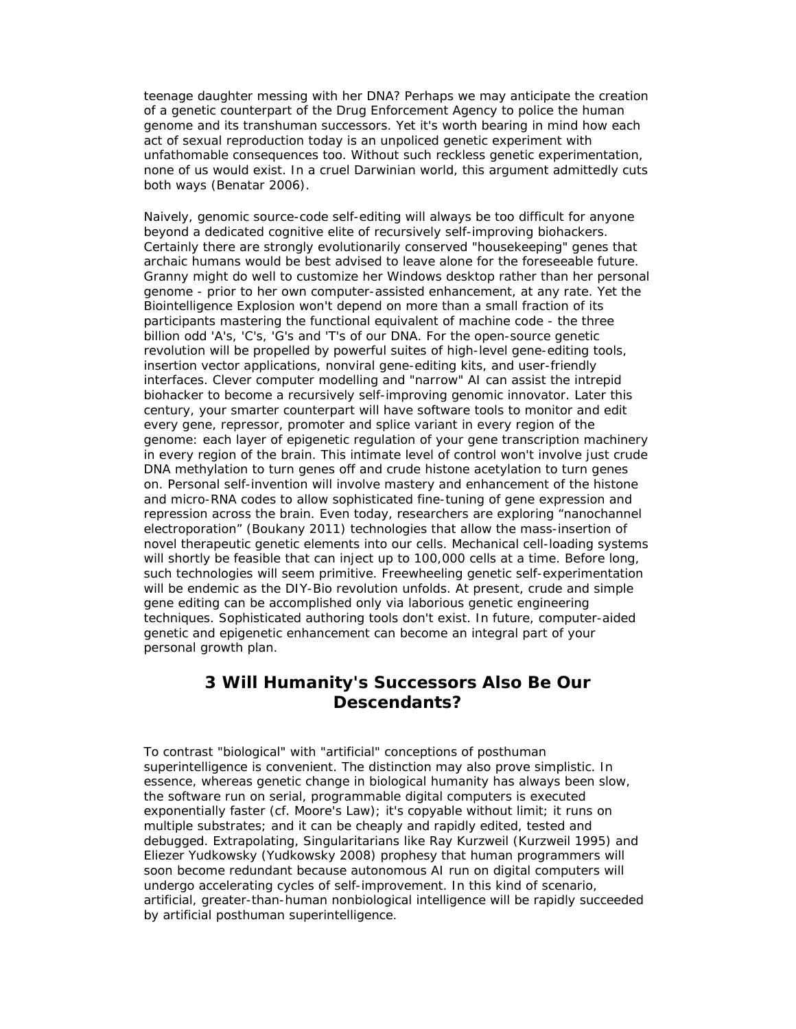teenage daughter messing with her DNA? Perhaps we may anticipate the creation of a genetic counterpart of the Drug Enforcement Agency to police the human genome and its transhuman successors. Yet it's worth bearing in mind how each act of sexual reproduction today is an unpoliced genetic experiment with unfathomable consequences too. Without such reckless genetic experimentation, none of us would exist. In a cruel Darwinian world, this argument admittedly cuts both ways (Benatar 2006).

Naively, genomic source-code self-editing will always be too difficult for anyone beyond a dedicated cognitive elite of recursively self-improving biohackers. Certainly there are strongly evolutionarily conserved "housekeeping" genes that archaic humans would be best advised to leave alone for the foreseeable future. Granny might do well to customize her Windows desktop rather than her personal genome - prior to her own computer-assisted enhancement, at any rate. Yet the Biointelligence Explosion won't depend on more than a small fraction of its participants mastering the functional equivalent of machine code - the three billion odd 'A's, 'C's, 'G's and 'T's of our DNA. For the open-source genetic revolution will be propelled by powerful suites of high-level gene-editing tools, insertion vector applications, nonviral gene-editing kits, and user-friendly interfaces. Clever computer modelling and "narrow" AI can assist the intrepid biohacker to become a recursively self-improving genomic innovator. Later this century, your smarter counterpart will have software tools to monitor and edit every gene, repressor, promoter and splice variant in every region of the genome: each layer of epigenetic regulation of your gene transcription machinery in every region of the brain. This intimate level of control won't involve just crude DNA methylation to turn genes off and crude histone acetylation to turn genes on. Personal self-invention will involve mastery and enhancement of the histone and micro-RNA codes to allow sophisticated fine-tuning of gene expression and repression across the brain. Even today, researchers are exploring "nanochannel electroporation" (Boukany 2011) technologies that allow the mass-insertion of novel therapeutic genetic elements into our cells. Mechanical cell-loading systems will shortly be feasible that can inject up to 100,000 cells at a time. Before long, such technologies will seem primitive. Freewheeling genetic self-experimentation will be endemic as the DIY-Bio revolution unfolds. At present, crude and simple gene editing can be accomplished only via laborious genetic engineering techniques. Sophisticated authoring tools don't exist. In future, computer-aided genetic and epigenetic enhancement can become an integral part of your personal growth plan.

# **3 Will Humanity's Successors Also Be Our Descendants?**

To contrast "biological" with "artificial" conceptions of posthuman superintelligence is convenient. The distinction may also prove simplistic. In essence, whereas genetic change in biological humanity has always been slow, the software run on serial, programmable digital computers is executed exponentially faster (*cf.* Moore's Law); it's copyable without limit; it runs on multiple substrates; and it can be cheaply and rapidly edited, tested and debugged. Extrapolating, Singularitarians like Ray Kurzweil (Kurzweil 1995) and Eliezer Yudkowsky (Yudkowsky 2008) prophesy that human programmers will soon become redundant because autonomous AI run on digital computers will undergo accelerating cycles of self-improvement. In this kind of scenario, artificial, greater-than-human nonbiological intelligence will be rapidly succeeded by artificial posthuman superintelligence.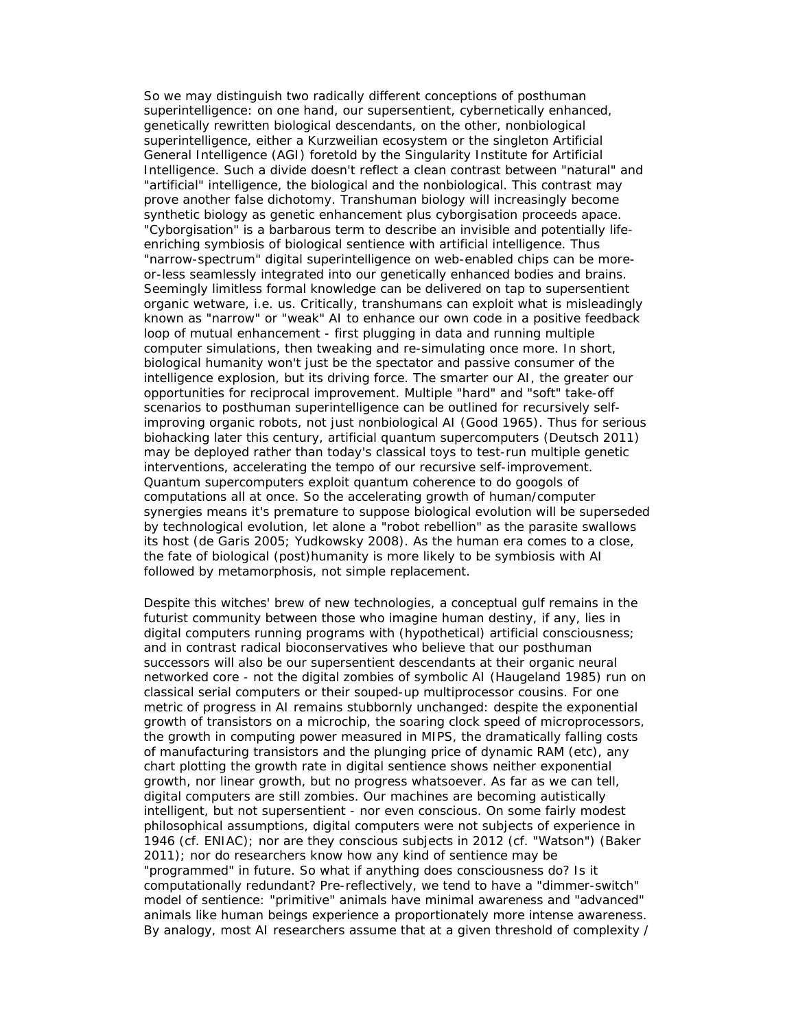So we may distinguish two radically different conceptions of posthuman superintelligence: on one hand, our supersentient, cybernetically enhanced, genetically rewritten *biological* descendants, on the other, *non*biological superintelligence, either a Kurzweilian ecosystem or the singleton Artificial General Intelligence (AGI) foretold by the Singularity Institute for Artificial Intelligence. Such a divide doesn't reflect a clean contrast between "natural" and "artificial" intelligence, the biological and the nonbiological. This contrast may prove another false dichotomy. Transhuman biology will increasingly become synthetic biology as genetic enhancement plus cyborgisation proceeds apace. "Cyborgisation" is a barbarous term to describe an invisible and potentially lifeenriching symbiosis of biological sentience with artificial intelligence. Thus "narrow-spectrum" digital superintelligence on web-enabled chips can be moreor-less seamlessly integrated into our genetically enhanced bodies and brains. Seemingly limitless formal knowledge can be delivered on tap to supersentient organic wetware, i.e. us. *Critically, transhumans can exploit what is misleadingly known as "narrow" or "weak" AI to enhance our own code in a positive feedback loop of mutual enhancement* - first plugging in data and running multiple computer simulations, then tweaking and re-simulating once more. In short, biological humanity won't just be the spectator and passive consumer of the intelligence explosion, but its driving force. The smarter our AI, the greater our opportunities for reciprocal improvement. Multiple "hard" and "soft" take-off scenarios to posthuman superintelligence can be outlined for recursively selfimproving organic robots, not just nonbiological AI (Good 1965). Thus for serious biohacking later this century, artificial quantum supercomputers (Deutsch 2011) may be deployed rather than today's classical toys to test-run multiple genetic interventions, accelerating the tempo of our recursive self-improvement. Quantum supercomputers exploit quantum coherence to do googols of computations all at once. So the accelerating growth of human/computer synergies means it's premature to suppose biological evolution will be superseded by technological evolution, let alone a "robot rebellion" as the parasite swallows its host (de Garis 2005; Yudkowsky 2008). As the human era comes to a close, the fate of biological (post)humanity is more likely to be symbiosis with AI followed by metamorphosis, not simple replacement.

Despite this witches' brew of new technologies, a conceptual gulf remains in the futurist community between those who imagine human destiny, if any, lies in digital computers running programs with (hypothetical) artificial consciousness; and in contrast radical bioconservatives who believe that our posthuman successors will also be our supersentient descendants at their organic neural networked core - not the digital zombies of symbolic AI (Haugeland 1985) run on classical serial computers or their souped-up multiprocessor cousins. For one metric of progress in AI remains stubbornly unchanged: despite the exponential growth of transistors on a microchip, the soaring clock speed of microprocessors, the growth in computing power measured in MIPS, the dramatically falling costs of manufacturing transistors and the plunging price of dynamic RAM (etc), any chart plotting the growth rate in digital sentience shows neither exponential growth, nor linear growth, but no progress whatsoever. As far as we can tell, digital computers are still zombies. Our machines are becoming autistically intelligent, but not supersentient - nor even conscious. On some fairly modest philosophical assumptions, digital computers were not subjects of experience in 1946 (*cf*. ENIAC); nor are they conscious subjects in 2012 (*cf*. "Watson") (Baker 2011); nor do researchers know how any kind of sentience may be "programmed" in future. So what if anything does consciousness *do*? Is it computationally redundant? Pre-reflectively, we tend to have a "dimmer-switch" model of sentience: "primitive" animals have minimal awareness and "advanced" animals like human beings experience a proportionately more intense awareness. By analogy, most AI researchers assume that at a given threshold of complexity /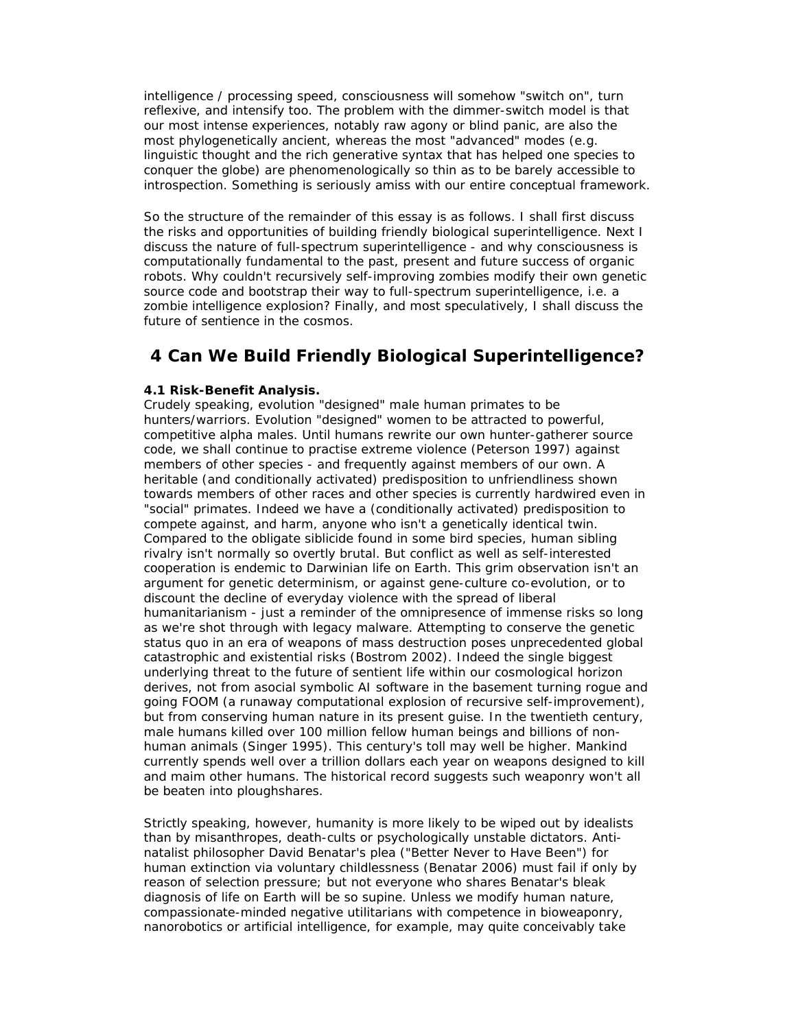intelligence / processing speed, consciousness will somehow "switch on", turn reflexive, and intensify too. The problem with the dimmer-switch model is that our most intense experiences, notably raw agony or blind panic, are also the most phylogenetically ancient, whereas the most "advanced" modes (e.g. linguistic thought and the rich generative syntax that has helped one species to conquer the globe) are phenomenologically so thin as to be barely accessible to introspection. Something is seriously amiss with our entire conceptual framework.

So the structure of the remainder of this essay is as follows. I shall first discuss the risks and opportunities of building friendly biological superintelligence. Next I discuss the nature of *full-spectrum* superintelligence - and why consciousness is computationally fundamental to the past, present and future success of organic robots. Why couldn't recursively self-improving *zombies* modify their own genetic source code and bootstrap their way to full-spectrum superintelligence, i.e. a zombie intelligence explosion? Finally, and most speculatively, I shall discuss the future of sentience in the cosmos.

### **4 Can We Build Friendly Biological Superintelligence?**

### **4.1 Risk-Benefit Analysis.**

Crudely speaking, evolution "designed" male human primates to be hunters/warriors. Evolution "designed" women to be attracted to powerful, competitive alpha males. Until humans rewrite our own hunter-gatherer source code, we shall continue to practise extreme violence (Peterson 1997) against members of other species - and frequently against members of our own. A heritable (and conditionally activated) predisposition to unfriendliness shown towards members of other races and other species is currently hardwired even in "social" primates. Indeed we have a (conditionally activated) predisposition to compete against, and harm, anyone who isn't a genetically identical twin. Compared to the obligate siblicide found in some bird species, human sibling rivalry isn't normally so overtly brutal. But conflict as well as self-interested cooperation is endemic to Darwinian life on Earth. This grim observation isn't an argument for genetic determinism, or against gene-culture co-evolution, or to discount the decline of everyday violence with the spread of liberal humanitarianism - just a reminder of the omnipresence of immense risks so long as we're shot through with legacy malware. Attempting to conserve the genetic status quo in an era of weapons of mass destruction poses unprecedented global catastrophic and existential risks (Bostrom 2002). Indeed the single biggest underlying threat to the future of sentient life within our cosmological horizon derives, not from asocial symbolic AI software in the basement turning rogue and going FOOM (a runaway computational explosion of recursive self-improvement), but from conserving human nature in its present guise. In the twentieth century, male humans killed over 100 million fellow human beings and billions of nonhuman animals (Singer 1995). This century's toll may well be higher. Mankind currently spends well over a trillion dollars each year on weapons designed to kill and maim other humans. The historical record suggests such weaponry won't all be beaten into ploughshares.

Strictly speaking, however, humanity is more likely to be wiped out by *idealists* than by misanthropes, death-cults or psychologically unstable dictators. Antinatalist philosopher David Benatar's plea ("Better Never to Have Been") for human extinction via voluntary childlessness (Benatar 2006) must fail if only by reason of selection pressure; but not everyone who shares Benatar's bleak diagnosis of life on Earth will be so supine. Unless we modify human nature, compassionate-minded negative utilitarians with competence in bioweaponry, nanorobotics or artificial intelligence, for example, may quite conceivably take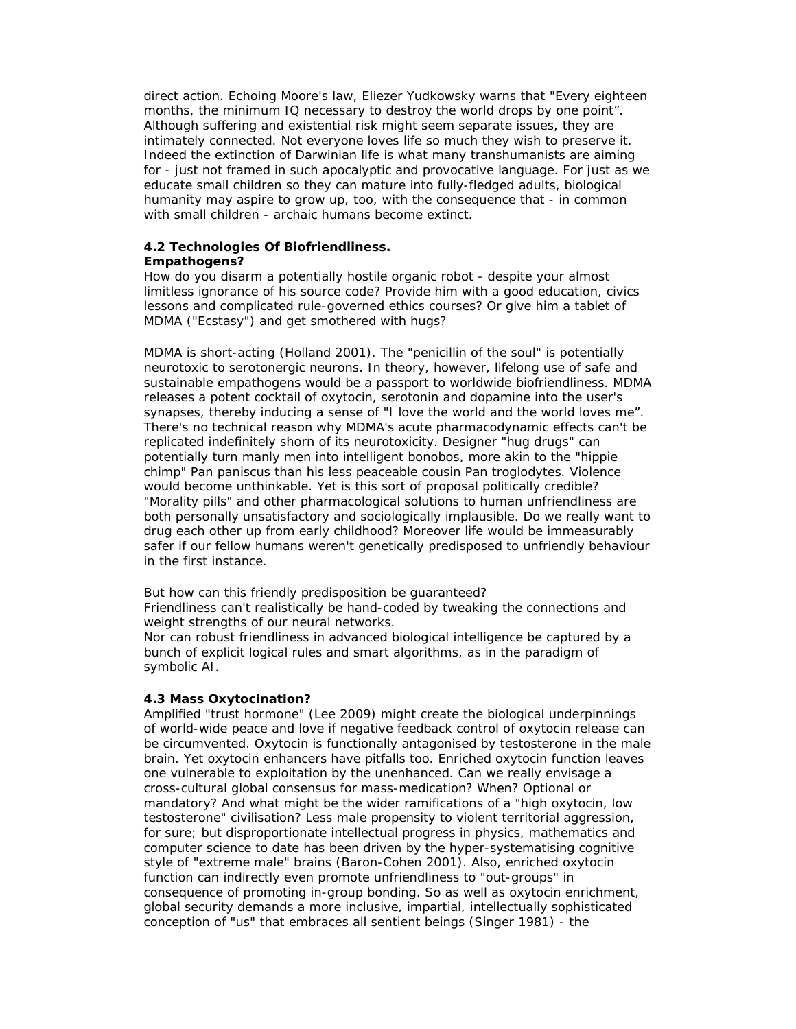direct action. Echoing Moore's law, Eliezer Yudkowsky warns that "Every eighteen months, the minimum IQ necessary to destroy the world drops by one point". Although suffering and existential risk might seem separate issues, they are intimately connected. Not everyone loves life so much they wish to preserve it. Indeed the extinction of Darwinian life is what many transhumanists are aiming for - just not framed in such apocalyptic and provocative language. For just as we educate small children so they can mature into fully-fledged adults, biological humanity may aspire to grow up, too, with the consequence that - in common with small children - archaic humans become extinct.

### **4.2 Technologies Of Biofriendliness.**

#### **Empathogens?**

How do you disarm a potentially hostile organic robot - despite your almost limitless ignorance of his source code? Provide him with a good education, civics lessons and complicated rule-governed ethics courses? Or give him a tablet of MDMA ("Ecstasy") and get smothered with hugs?

MDMA is short-acting (Holland 2001). The "penicillin of the soul" is potentially neurotoxic to serotonergic neurons. In theory, however, lifelong use of safe and sustainable empathogens would be a passport to worldwide biofriendliness. MDMA releases a potent cocktail of oxytocin, serotonin and dopamine into the user's synapses, thereby inducing a sense of "I love the world and the world loves me". There's no technical reason why MDMA's acute pharmacodynamic effects can't be replicated indefinitely shorn of its neurotoxicity. Designer "hug drugs" can potentially turn manly men into intelligent bonobos, more akin to the "hippie chimp" *Pan paniscus* than his less peaceable cousin *Pan troglodytes*. Violence would become unthinkable. Yet is this sort of proposal politically credible? "Morality pills" and other pharmacological solutions to human unfriendliness are both personally unsatisfactory and sociologically implausible. Do we really want to drug each other up from early childhood? Moreover life would be immeasurably safer if our fellow humans weren't genetically predisposed to unfriendly behaviour in the first instance.

But how can this friendly predisposition be guaranteed?

Friendliness can't realistically be hand-coded by tweaking the connections and weight strengths of our neural networks.

Nor can robust friendliness in advanced biological intelligence be captured by a bunch of explicit logical rules and smart algorithms, as in the paradigm of symbolic AI.

### **4.3 Mass Oxytocination?**

Amplified "trust hormone" (Lee 2009) might create the biological underpinnings of world-wide peace and love if negative feedback control of oxytocin release can be circumvented. Oxytocin is functionally antagonised by testosterone in the male brain. Yet oxytocin enhancers have pitfalls too. Enriched oxytocin function leaves one vulnerable to exploitation by the unenhanced. Can we really envisage a cross-cultural global consensus for mass-medication? When? Optional or mandatory? And what might be the wider ramifications of a "high oxytocin, low testosterone" civilisation? Less male propensity to violent territorial aggression, for sure; but disproportionate intellectual progress in physics, mathematics and computer science to date has been driven by the hyper-systematising cognitive style of "extreme male" brains (Baron-Cohen 2001). Also, enriched oxytocin function can indirectly even promote *un*friendliness to "out-groups" in consequence of promoting in-group bonding. So as well as oxytocin enrichment, global security demands a more inclusive, impartial, intellectually sophisticated conception of "us" that embraces all sentient beings (Singer 1981) - the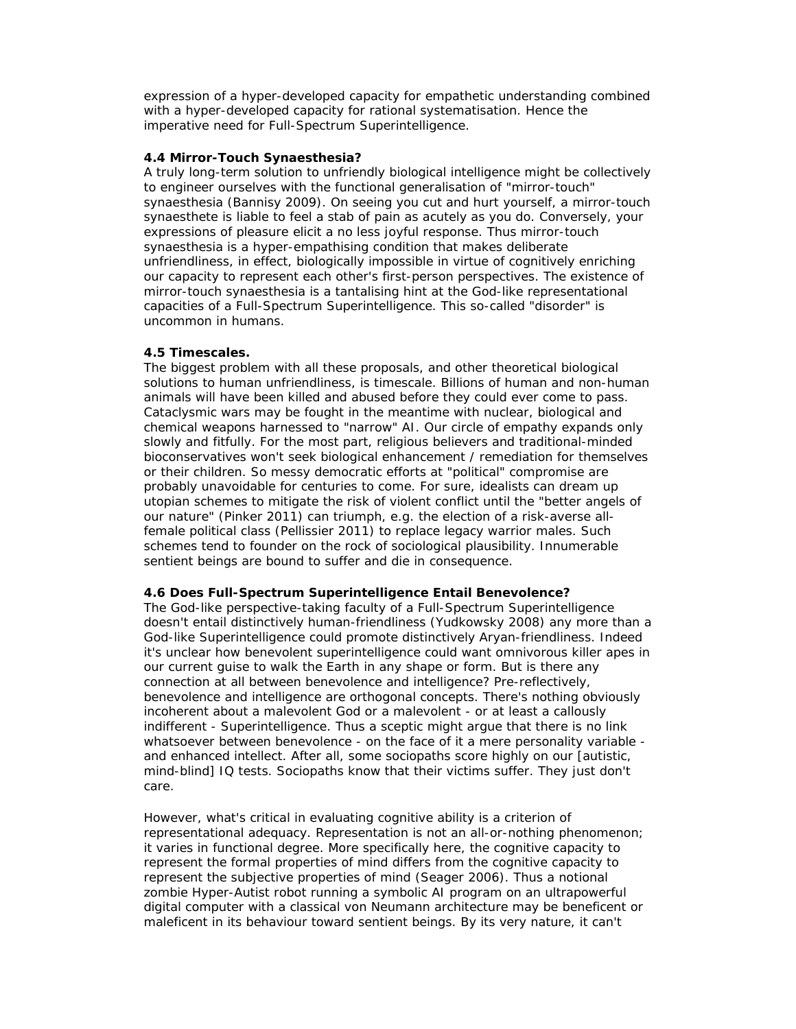expression of a hyper-developed capacity for empathetic understanding combined with a hyper-developed capacity for rational systematisation. Hence the imperative need for Full-Spectrum Superintelligence.

### **4.4 Mirror-Touch Synaesthesia?**

A truly long-term solution to unfriendly biological intelligence might be collectively to engineer ourselves with the functional generalisation of "mirror-touch" synaesthesia (Bannisy 2009). On seeing you cut and hurt yourself, a mirror-touch synaesthete is liable to feel a stab of pain as acutely as you do. Conversely, your expressions of pleasure elicit a no less joyful response. Thus mirror-touch synaesthesia is a hyper-empathising condition that makes deliberate unfriendliness, in effect, biologically impossible in virtue of cognitively enriching our capacity to represent each other's first-person perspectives. The existence of mirror-touch synaesthesia is a tantalising hint at the God-like representational capacities of a Full-Spectrum Superintelligence. This so-called "disorder" is uncommon in humans.

### **4.5 Timescales.**

The biggest problem with all these proposals, and other theoretical biological solutions to human unfriendliness, is timescale. Billions of human and non-human animals will have been killed and abused before they could ever come to pass. Cataclysmic wars may be fought in the meantime with nuclear, biological and chemical weapons harnessed to "narrow" AI. Our circle of empathy expands only slowly and fitfully. For the most part, religious believers and traditional-minded bioconservatives won't seek biological enhancement / remediation for themselves or their children. So messy democratic efforts at "political" compromise are probably unavoidable for centuries to come. For sure, idealists can dream up utopian schemes to mitigate the risk of violent conflict until the "better angels of our nature" (Pinker 2011) can triumph, e.g. the election of a risk-averse allfemale political class (Pellissier 2011) to replace legacy warrior males. Such schemes tend to founder on the rock of sociological plausibility. Innumerable sentient beings are bound to suffer and die in consequence.

### **4.6 Does Full-Spectrum Superintelligence Entail Benevolence?**

The God-like perspective-taking faculty of a Full-Spectrum Superintelligence doesn't entail distinctively *human*-friendliness (Yudkowsky 2008) any more than a God-like Superintelligence could promote distinctively Aryan-friendliness. Indeed it's unclear how benevolent superintelligence could want omnivorous killer apes in our current guise to walk the Earth in any shape or form. But is there any connection at all between benevolence and intelligence? Pre-reflectively, benevolence and intelligence are orthogonal concepts. There's nothing obviously incoherent about a malevolent God or a malevolent - or at least a callously indifferent - Superintelligence. Thus a sceptic might argue that there is no link whatsoever between benevolence - on the face of it a mere personality variable and enhanced intellect. After all, some sociopaths score highly on our [autistic, mind-blind] IQ tests. Sociopaths know that their victims suffer. They just don't care.

However, what's critical in evaluating cognitive ability is a *criterion of representational adequacy*. Representation is not an all-or-nothing phenomenon; it varies in functional degree. More specifically here, the cognitive capacity to represent the *formal* properties of mind differs from the cognitive capacity to represent the *subjective* properties of mind (Seager 2006). Thus a notional zombie Hyper-Autist robot running a symbolic AI program on an ultrapowerful digital computer with a classical von Neumann architecture may be beneficent or maleficent in its behaviour toward sentient beings. By its very nature, it can't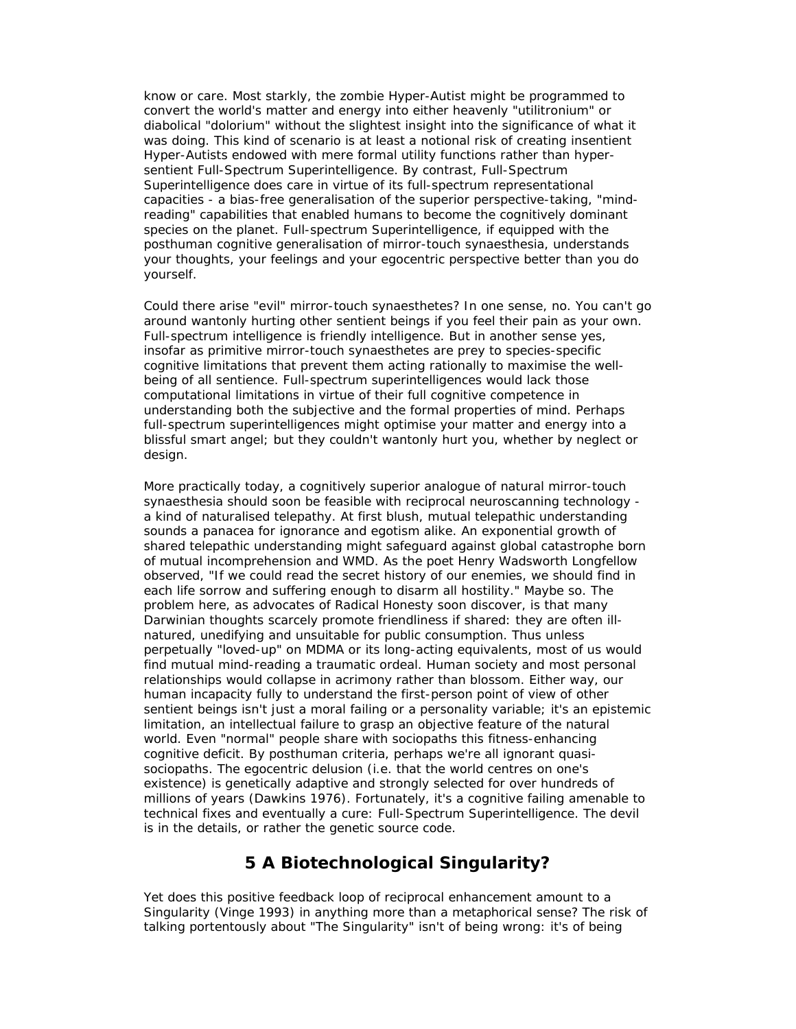know or care. Most starkly, the zombie Hyper-Autist might be programmed to convert the world's matter and energy into either heavenly "utilitronium" or diabolical "dolorium" without the slightest insight into the significance of what it was doing. This kind of scenario is at least a notional risk of creating insentient Hyper-Autists endowed with mere formal utility functions rather than hypersentient Full-Spectrum Superintelligence. By contrast, Full-Spectrum Superintelligence *does* care in virtue of its full-spectrum representational capacities - a bias-free generalisation of the superior perspective-taking, "mindreading" capabilities that enabled humans to become the cognitively dominant species on the planet. Full-spectrum Superintelligence, if equipped with the posthuman cognitive generalisation of mirror-touch synaesthesia, understands your thoughts, your feelings and your egocentric perspective better than you do yourself.

Could there arise "evil" mirror-touch synaesthetes? In one sense, no. You can't go around wantonly hurting other sentient beings if you feel their pain as your own. Full-spectrum intelligence is friendly intelligence. But in another sense yes, insofar as primitive mirror-touch synaesthetes are prey to species-specific cognitive limitations that prevent them acting rationally to maximise the wellbeing of all sentience. Full-spectrum superintelligences would lack those computational limitations in virtue of their full cognitive competence in understanding both the subjective and the formal properties of mind. Perhaps full-spectrum superintelligences might optimise your matter and energy into a blissful smart angel; but they couldn't wantonly hurt you, whether by neglect or design.

More practically today, a cognitively superior analogue of natural mirror-touch synaesthesia should soon be feasible with reciprocal neuroscanning technology a kind of naturalised telepathy. At first blush, mutual telepathic understanding sounds a panacea for ignorance and egotism alike. An exponential growth of shared telepathic understanding might safeguard against global catastrophe born of mutual incomprehension and WMD. As the poet Henry Wadsworth Longfellow observed, "If we could read the secret history of our enemies, we should find in each life sorrow and suffering enough to disarm all hostility." Maybe so. The problem here, as advocates of Radical Honesty soon discover, is that many Darwinian thoughts scarcely promote friendliness if shared: they are often illnatured, unedifying and unsuitable for public consumption. Thus unless perpetually "loved-up" on MDMA or its long-acting equivalents, most of us would find mutual mind-reading a traumatic ordeal. Human society and most personal relationships would collapse in acrimony rather than blossom. Either way, our human incapacity fully to understand the first-person point of view of other sentient beings isn't just a moral failing or a personality variable; it's an *epistemic* limitation, an intellectual failure to grasp an objective feature of the natural world. Even "normal" people share with sociopaths this fitness-enhancing cognitive deficit. By posthuman criteria, perhaps we're all ignorant quasisociopaths. The egocentric delusion (i.e. that the world centres on one's existence) is genetically adaptive and strongly selected for over hundreds of millions of years (Dawkins 1976). Fortunately, it's a cognitive failing amenable to technical fixes and eventually a cure: Full-Spectrum Superintelligence. The devil is in the details, or rather the genetic source code.

### **5 A Biotechnological Singularity?**

Yet does this positive feedback loop of reciprocal enhancement amount to a Singularity (Vinge 1993) in anything more than a metaphorical sense? The risk of talking portentously about "The Singularity" isn't of being wrong: it's of being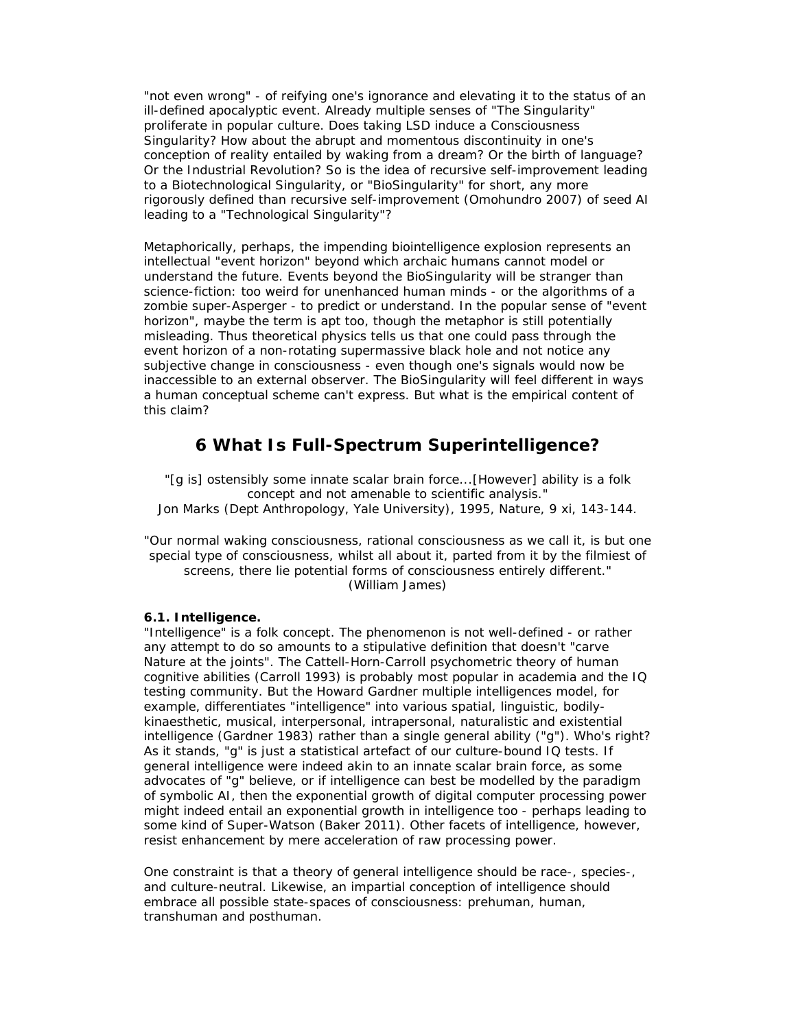"not even wrong" - of reifying one's ignorance and elevating it to the status of an ill-defined apocalyptic event. Already multiple senses of "The Singularity" proliferate in popular culture. Does taking LSD induce a Consciousness Singularity? How about the abrupt and momentous discontinuity in one's conception of reality entailed by waking from a dream? Or the birth of language? Or the Industrial Revolution? So is the idea of recursive self-improvement leading to a *Bio*technological Singularity, or "BioSingularity" for short, any more rigorously defined than recursive self-improvement (Omohundro 2007) of seed AI leading to a "Technological Singularity"?

Metaphorically, perhaps, the impending biointelligence explosion represents an intellectual "event horizon" beyond which archaic humans cannot model or understand the future. Events beyond the BioSingularity will be stranger than science-fiction: too weird for unenhanced human minds - or the algorithms of a zombie super-Asperger - to predict or understand. In the popular sense of "event horizon", maybe the term is apt too, though the metaphor is still potentially misleading. Thus theoretical physics tells us that one could pass through the event horizon of a non-rotating supermassive black hole and not notice any subjective change in consciousness - even though one's signals would now be inaccessible to an external observer. The BioSingularity will feel different in ways a human conceptual scheme can't express. But what is the empirical content of this claim?

### **6 What Is Full-Spectrum Superintelligence?**

*"[g is] ostensibly some innate scalar brain force...[However] ability is a folk concept and not amenable to scientific analysis."* Jon Marks (Dept Anthropology, Yale University), 1995, *Nature*, 9 xi, 143-144.

*"Our normal waking consciousness, rational consciousness as we call it, is but one special type of consciousness, whilst all about it, parted from it by the filmiest of screens, there lie potential forms of consciousness entirely different."* (William James)

### **6.1. Intelligence.**

"Intelligence" is a folk concept. The phenomenon is not well-defined - or rather any attempt to do so amounts to a stipulative definition that doesn't "carve Nature at the joints". The Cattell-Horn-Carroll psychometric theory of human cognitive abilities (Carroll 1993) is probably most popular in academia and the IQ testing community. But the Howard Gardner multiple intelligences model, for example, differentiates "intelligence" into various spatial, linguistic, bodilykinaesthetic, musical, interpersonal, intrapersonal, naturalistic and existential intelligence (Gardner 1983) rather than a single general ability ("g"). Who's right? As it stands, "g" is just a statistical artefact of our culture-bound IQ tests. If general intelligence were indeed akin to an innate scalar brain force, as some advocates of "g" believe, or if intelligence can best be modelled by the paradigm of symbolic AI, then the exponential growth of digital computer processing power might indeed entail an exponential growth in intelligence too - perhaps leading to some kind of Super-Watson (Baker 2011). Other facets of intelligence, however, resist enhancement by mere acceleration of raw processing power.

One constraint is that a theory of general intelligence should be race-, species-, and culture-neutral. Likewise, an impartial conception of intelligence should embrace all possible state-spaces of consciousness: prehuman, human, transhuman and posthuman.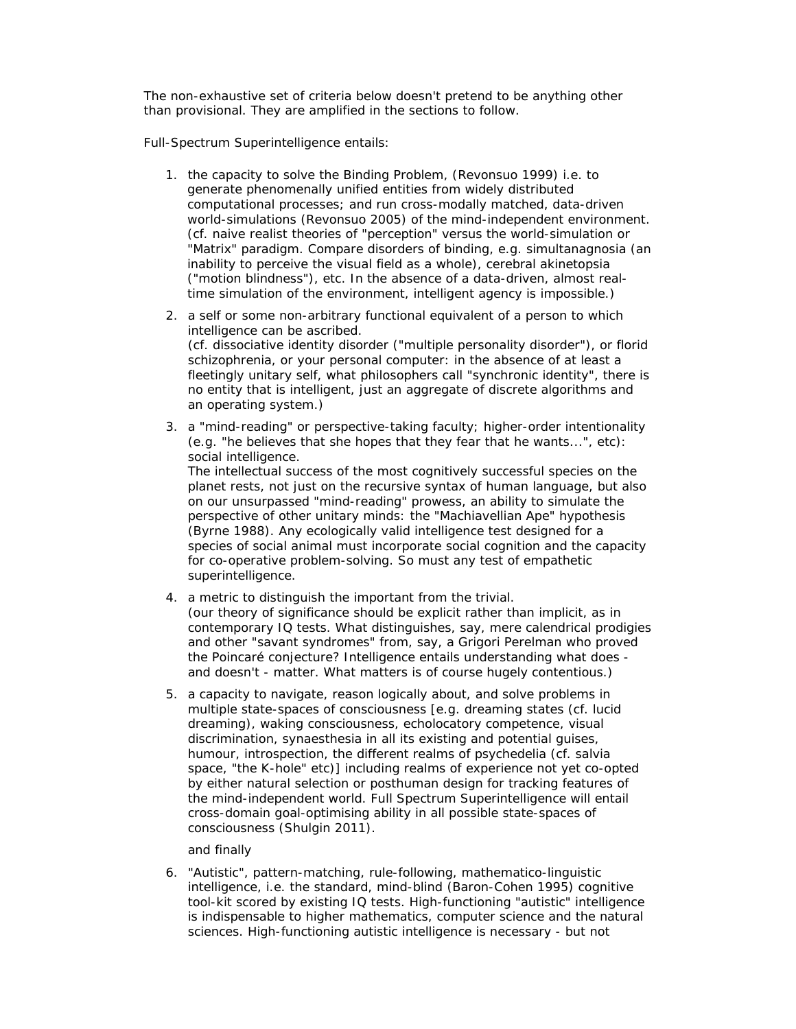The non-exhaustive set of criteria below doesn't pretend to be anything other than provisional. They are amplified in the sections to follow.

### *Full-Spectrum Superintelligence* entails:

- 1. the capacity to solve the Binding Problem, (Revonsuo 1999) i.e. to generate phenomenally unified entities from widely distributed computational processes; and run cross-modally matched, data-driven world-simulations (Revonsuo 2005) of the mind-independent environment. (*cf*. naive realist theories of "perception" versus the world-simulation or "Matrix" paradigm. Compare disorders of binding, e.g. simultanagnosia (an inability to perceive the visual field as a whole), cerebral akinetopsia ("motion blindness"), etc. In the absence of a data-driven, almost realtime simulation of the environment, intelligent agency is impossible.)
- 2. a self or some non-arbitrary functional equivalent of a person to which intelligence can be ascribed. (*cf*. dissociative identity disorder ("multiple personality disorder"), or florid schizophrenia, or your personal computer: in the absence of at least a fleetingly unitary self, what philosophers call "synchronic identity", there is no entity that is intelligent, just an aggregate of discrete algorithms and an operating system.)
- 3. a "mind-reading" or perspective-taking faculty; higher-order intentionality (e.g. "he believes that she hopes that they fear that he wants...", etc): social intelligence. The intellectual success of the most cognitively successful species on the planet rests, not just on the recursive syntax of human language, but also on our unsurpassed "mind-reading" prowess, an ability to simulate the perspective of other unitary minds: the "Machiavellian Ape" hypothesis (Byrne 1988). Any ecologically valid intelligence test designed for a species of social animal must incorporate social cognition and the capacity for co-operative problem-solving. So must any test of empathetic superintelligence.
- 4. a metric to distinguish the important from the trivial. (our theory of significance should be explicit rather than implicit, as in contemporary IQ tests. What distinguishes, say, mere calendrical prodigies and other "savant syndromes" from, say, a Grigori Perelman who proved the Poincaré conjecture? Intelligence entails understanding what does and doesn't - matter. What matters is of course hugely contentious.)
- 5. a capacity to navigate, reason logically about, and solve problems in multiple state-spaces of consciousness [e.g. dreaming states (*cf.* lucid dreaming), waking consciousness, echolocatory competence, visual discrimination, synaesthesia in all its existing and potential guises, humour, introspection, the different realms of psychedelia (*cf*. salvia space, "the K-hole" etc)] including *realms of experience not yet co-opted by either natural selection or posthuman design for tracking features of the mind-independent world*. Full Spectrum Superintelligence will entail cross-domain goal-optimising ability in all possible state-spaces of consciousness (Shulgin 2011).

#### *and finally*

6. "Autistic", pattern-matching, rule-following, mathematico-linguistic intelligence, i.e. the standard, mind-blind (Baron-Cohen 1995) cognitive tool-kit scored by existing IQ tests. High-functioning "autistic" intelligence is indispensable to higher mathematics, computer science and the natural sciences. High-functioning autistic intelligence is necessary - but not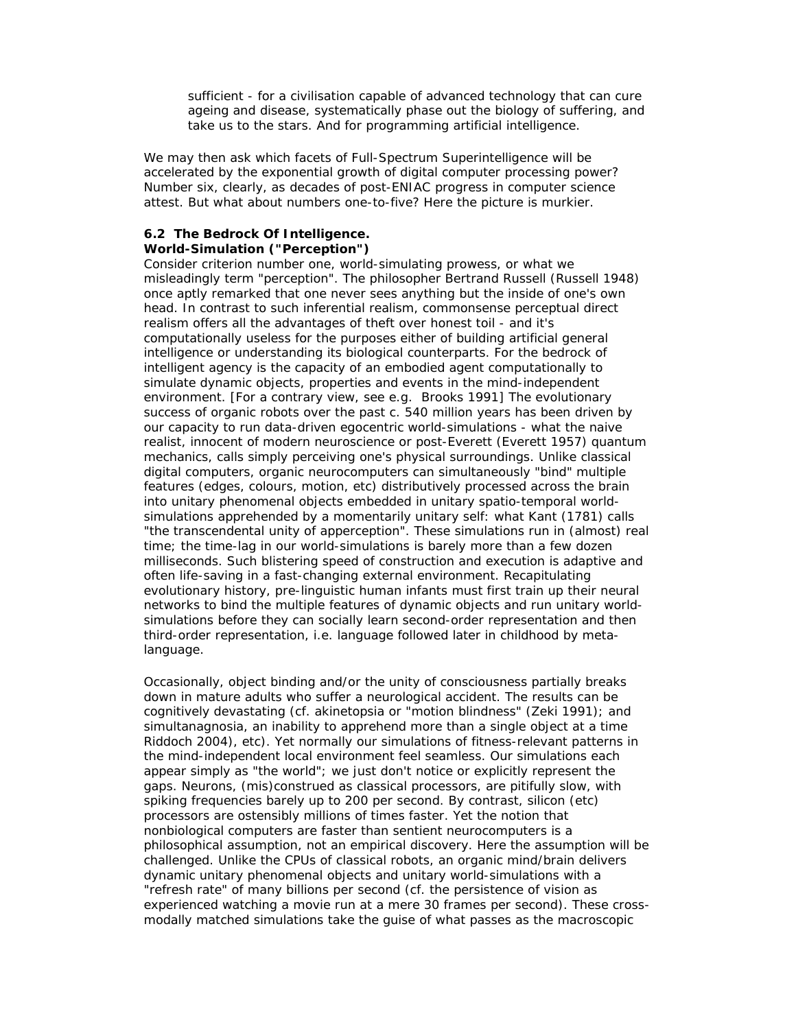sufficient - for a civilisation capable of advanced technology that can cure ageing and disease, systematically phase out the biology of suffering, and take us to the stars. And for programming artificial intelligence.

We may then ask which facets of Full-Spectrum Superintelligence will be accelerated by the exponential growth of digital computer processing power? Number six, clearly, as decades of post-ENIAC progress in computer science attest. But what about numbers one-to-five? Here the picture is murkier.

### **6.2 The Bedrock Of Intelligence. World-Simulation ("Perception")**

Consider criterion number one, world-simulating prowess, or what we misleadingly term "perception". The philosopher Bertrand Russell (Russell 1948) once aptly remarked that one never sees anything but the inside of one's own head. In contrast to such inferential realism, commonsense perceptual direct realism offers all the advantages of theft over honest toil - and it's computationally useless for the purposes either of building artificial general intelligence or understanding its biological counterparts. For the bedrock of intelligent agency is the capacity of an embodied agent computationally to simulate dynamic objects, properties and events in the mind-independent environment. [For a contrary view, see e.g. Brooks 1991] The evolutionary success of organic robots over the past *c*. 540 million years has been driven by our capacity to run data-driven egocentric world-simulations - what the naive realist, innocent of modern neuroscience or post-Everett (Everett 1957) quantum mechanics, calls simply perceiving one's physical surroundings. Unlike classical digital computers, organic neurocomputers can simultaneously "bind" multiple features (edges, colours, motion, etc) distributively processed across the brain into unitary phenomenal objects embedded in unitary spatio-temporal worldsimulations apprehended by a momentarily unitary self: what Kant (1781) calls "the transcendental unity of apperception". These simulations run in (almost) real time; the time-lag in our world-simulations is barely more than a few dozen milliseconds. Such blistering speed of construction and execution is adaptive and often life-saving in a fast-changing external environment. Recapitulating evolutionary history, pre-linguistic human infants must first train up their neural networks to bind the multiple features of dynamic objects and run unitary worldsimulations before they can socially learn *second-order* representation and then *third-order* representation, i.e. language followed later in childhood by metalanguage.

Occasionally, object binding and/or the unity of consciousness partially breaks down in mature adults who suffer a neurological accident. The results can be cognitively devastating (*cf*. akinetopsia or "motion blindness" (Zeki 1991); and simultanagnosia, an inability to apprehend more than a single object at a time Riddoch 2004), etc). Yet normally our simulations of fitness-relevant patterns in the mind-independent local environment feel seamless. Our simulations each appear simply as "the world"; we just don't notice or explicitly represent the gaps. Neurons, (mis)construed as classical processors, are pitifully slow, with spiking frequencies barely up to 200 per second. By contrast, silicon (etc) processors are ostensibly millions of times faster. Yet the notion that nonbiological computers are faster than sentient neurocomputers is a philosophical assumption, not an empirical discovery. Here the assumption will be challenged. Unlike the CPUs of classical robots, an organic mind/brain delivers dynamic unitary phenomenal objects and unitary world-simulations with a "refresh rate" of many billions per second (*cf*. the persistence of vision as experienced watching a movie run at a mere 30 frames per second). These crossmodally matched simulations take the guise of what passes as the macroscopic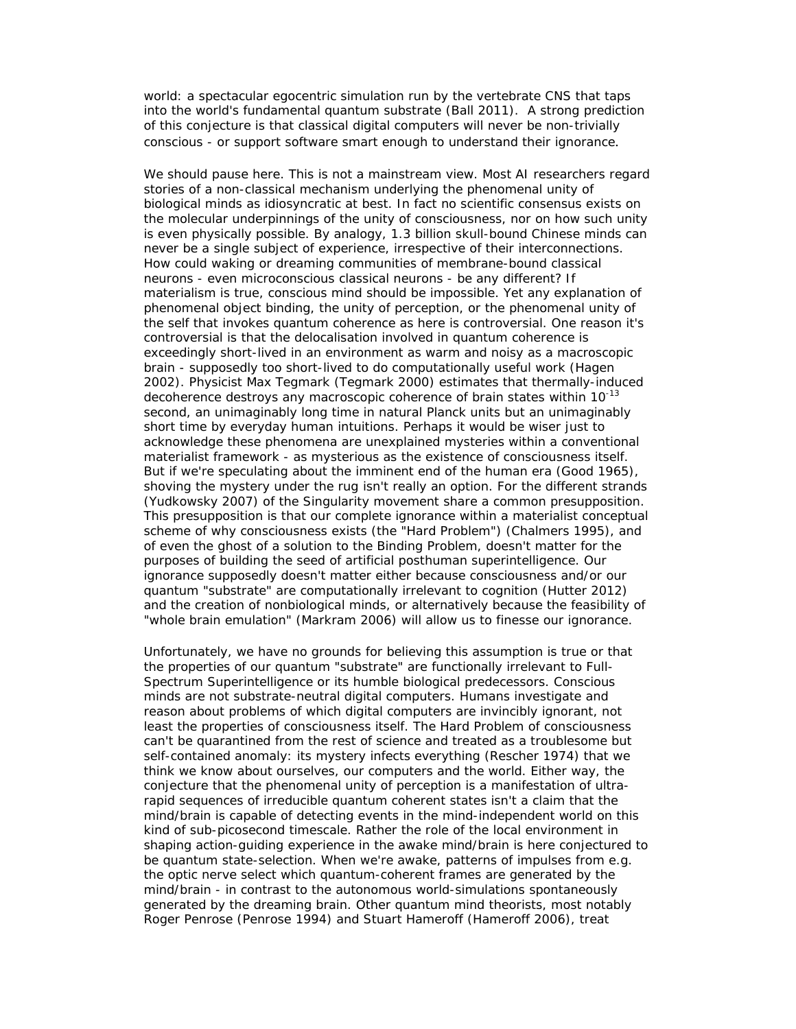world: a spectacular egocentric simulation run by the vertebrate CNS that taps into the world's fundamental quantum substrate (Ball 2011). A strong prediction of this conjecture is that classical digital computers will never be non-trivially conscious - or support software smart enough to understand their ignorance.

We should pause here. This is *not* a mainstream view. Most AI researchers regard stories of a non-classical mechanism underlying the phenomenal unity of biological minds as idiosyncratic at best. In fact no scientific consensus exists on the molecular underpinnings of the unity of consciousness, nor on how such unity is even physically possible. By analogy, 1.3 billion skull-bound Chinese minds can never be a single subject of experience, irrespective of their interconnections. How could waking or dreaming communities of membrane-bound classical neurons - even *micro*conscious classical neurons - be any different? If materialism is true, conscious mind should be *impossible*. Yet any explanation of phenomenal object binding, the unity of perception, or the phenomenal unity of the self that invokes quantum coherence as here is controversial. One reason it's controversial is that the delocalisation involved in quantum coherence is exceedingly short-lived in an environment as warm and noisy as a macroscopic brain - supposedly too short-lived to do computationally useful work (Hagen 2002). Physicist Max Tegmark (Tegmark 2000) estimates that thermally-induced decoherence destroys any macroscopic coherence of brain states within  $10^{-13}$ second, an unimaginably long time in natural Planck units but an unimaginably short time by everyday human intuitions. Perhaps it would be wiser just to acknowledge these phenomena are unexplained mysteries within a conventional materialist framework - as mysterious as the existence of consciousness itself. But if we're speculating about the imminent end of the human era (Good 1965), shoving the mystery under the rug isn't really an option. For the different strands (Yudkowsky 2007) of the Singularity movement share a common presupposition. This presupposition is that our complete ignorance within a materialist conceptual scheme of why consciousness exists (the "Hard Problem") (Chalmers 1995), and of even the ghost of a solution to the Binding Problem, doesn't matter for the purposes of building the seed of artificial posthuman superintelligence. Our ignorance supposedly doesn't matter either because consciousness and/or our quantum "substrate" are computationally irrelevant to cognition (Hutter 2012) and the creation of nonbiological minds, or alternatively because the feasibility of "whole brain emulation" (Markram 2006) will allow us to finesse our ignorance.

Unfortunately, we have no grounds for believing this assumption is true or that the properties of our quantum "substrate" are functionally irrelevant to Full-Spectrum Superintelligence or its humble biological predecessors. Conscious minds are not substrate-neutral digital computers. Humans investigate and reason about problems of which digital computers are invincibly ignorant, not least the properties of consciousness itself. The Hard Problem of consciousness can't be quarantined from the rest of science and treated as a troublesome but self-contained anomaly: its mystery infects *everything* (Rescher 1974) that we think we know about ourselves, our computers and the world. Either way, the conjecture that the phenomenal unity of perception is a manifestation of ultrarapid sequences of irreducible quantum coherent states *isn't* a claim that the mind/brain is capable of detecting events in the mind-independent world on this kind of sub-picosecond timescale. Rather the role of the local environment in shaping action-guiding experience in the awake mind/brain is here conjectured to be quantum state-*selection*. When we're awake, patterns of impulses from e.g. the optic nerve *select* which quantum-coherent frames are generated by the mind/brain - in contrast to the autonomous world-simulations spontaneously generated by the dreaming brain. Other quantum mind theorists, most notably Roger Penrose (Penrose 1994) and Stuart Hameroff (Hameroff 2006), treat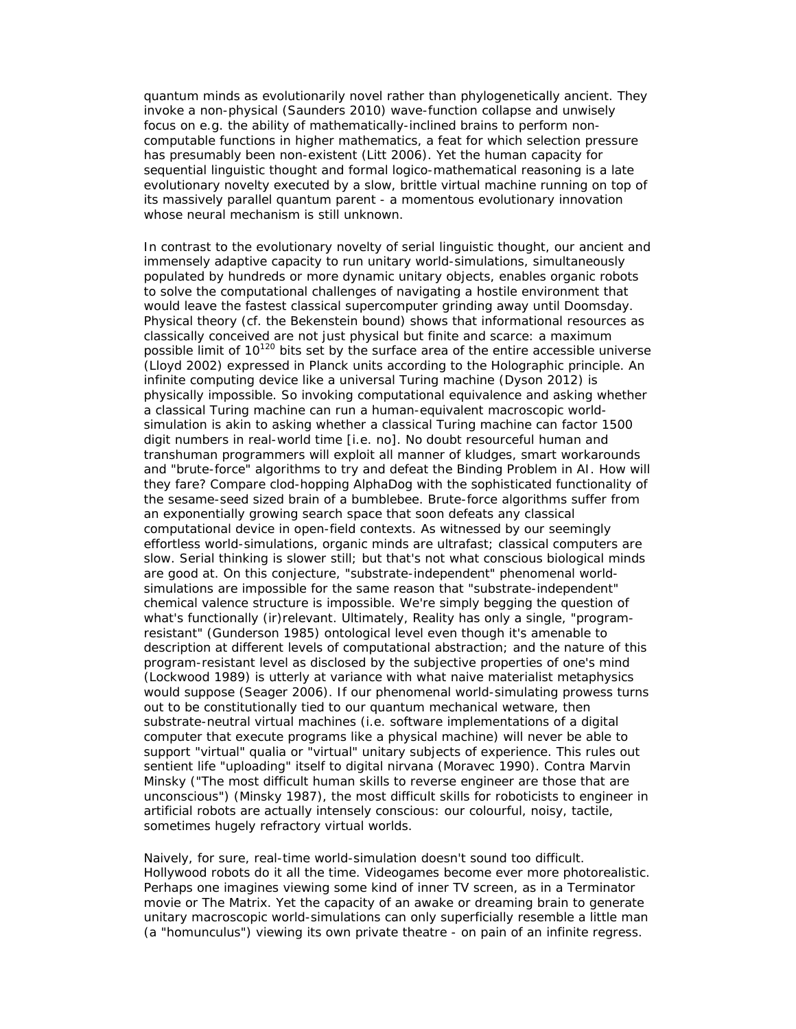quantum minds as evolutionarily novel rather than phylogenetically ancient. They invoke a non-physical (Saunders 2010) wave-function collapse and unwisely focus on e.g. the ability of mathematically-inclined brains to perform noncomputable functions in higher mathematics, a feat for which selection pressure has presumably been non-existent (Litt 2006). Yet the human capacity for sequential linguistic thought and formal logico-mathematical reasoning is a late evolutionary novelty executed by a slow, brittle virtual machine running on top of its massively parallel quantum parent - a momentous evolutionary innovation whose neural mechanism is still unknown.

In contrast to the evolutionary novelty of serial linguistic thought, our ancient and immensely adaptive capacity to run unitary world-simulations, simultaneously populated by hundreds or more dynamic unitary objects, enables organic robots to solve the computational challenges of navigating a hostile environment that would leave the fastest classical supercomputer grinding away until Doomsday. Physical theory (*cf*. the Bekenstein bound) shows that informational resources as classically conceived are not just physical but finite and scarce: a maximum possible limit of  $10^{120}$  bits set by the surface area of the entire accessible universe (Lloyd 2002) expressed in Planck units according to the Holographic principle. An infinite computing device like a universal Turing machine (Dyson 2012) is physically impossible. So invoking computational equivalence and asking whether a classical Turing machine can run a human-equivalent macroscopic worldsimulation is akin to asking whether a classical Turing machine can factor 1500 digit numbers in real-world time [i.e. no]. No doubt resourceful human and transhuman programmers will exploit all manner of kludges, smart workarounds and "brute-force" algorithms to try and defeat the Binding Problem in AI. How will they fare? Compare clod-hopping AlphaDog with the sophisticated functionality of the sesame-seed sized brain of a bumblebee. Brute-force algorithms suffer from an exponentially growing search space that soon defeats any classical computational device in open-field contexts. As witnessed by our seemingly effortless world-simulations, organic minds are ultrafast; classical computers are slow. Serial *thinking* is slower still; but that's not what conscious biological minds are good at. On this conjecture, "substrate-independent" phenomenal worldsimulations are impossible for the same reason that "substrate-independent" chemical valence structure is impossible. We're simply begging the question of what's functionally (ir)relevant. Ultimately, Reality has only a single, "programresistant" (Gunderson 1985) ontological level even though it's amenable to description at different levels of computational abstraction; and the nature of this program-resistant level as disclosed by the subjective properties of one's mind (Lockwood 1989) is utterly at variance with what naive materialist metaphysics would suppose (Seager 2006). *If* our phenomenal world-simulating prowess turns out to be constitutionally tied to our quantum mechanical wetware, then substrate-neutral virtual machines (i.e. software implementations of a digital computer that execute programs like a physical machine) will never be able to support "virtual" qualia or "virtual" unitary subjects of experience. This rules out sentient life "uploading" itself to digital nirvana (Moravec 1990). C*ontra* Marvin Minsky ("The most difficult human skills to reverse engineer are those that are unconscious") (Minsky 1987), the most difficult skills for roboticists to engineer in artificial robots are actually intensely conscious: our colourful, noisy, tactile, sometimes hugely refractory virtual worlds.

Naively, for sure, real-time world-simulation doesn't sound too difficult. Hollywood robots do it all the time. Videogames become ever more photorealistic. Perhaps one imagines viewing some kind of inner TV screen, as in a Terminator movie or The Matrix. Yet the capacity of an awake or dreaming brain to generate unitary macroscopic world-simulations can only superficially resemble a little man (a "homunculus") viewing its own private theatre - on pain of an infinite regress.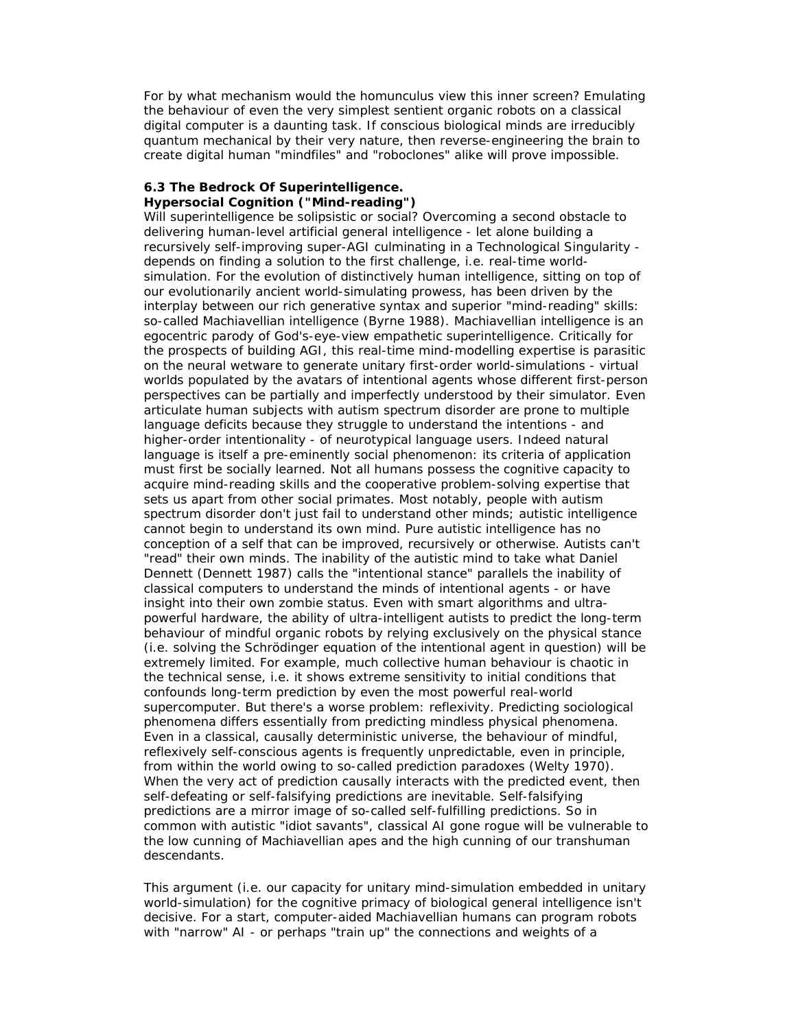For by what mechanism would the homunculus view this inner screen? Emulating the behaviour of even the very simplest sentient organic robots on a classical digital computer is a daunting task. *If* conscious biological minds are irreducibly quantum mechanical by their very nature, then reverse-engineering the brain to create digital human "mindfiles" and "roboclones" alike will prove impossible.

#### **6.3 The Bedrock Of Superintelligence. Hypersocial Cognition ("Mind-reading")**

Will superintelligence be solipsistic or social? Overcoming a second obstacle to delivering human-level artificial general intelligence - let alone building a recursively self-improving super-AGI culminating in a Technological Singularity depends on finding a solution to the first challenge, i.e. real-time worldsimulation. For the evolution of distinctively human intelligence, sitting on top of our evolutionarily ancient world-simulating prowess, has been driven by the interplay between our rich generative syntax and superior "mind-reading" skills: so-called Machiavellian intelligence (Byrne 1988). Machiavellian intelligence is an egocentric parody of God's-eye-view empathetic superintelligence. Critically for the prospects of building AGI, this real-time mind-modelling expertise is parasitic on the neural wetware to generate unitary first-order world-simulations - virtual worlds populated by the avatars of intentional agents whose different first-person perspectives can be partially and imperfectly understood by their simulator. Even articulate human subjects with autism spectrum disorder are prone to multiple language deficits because they struggle to understand the intentions - and higher-order intentionality - of neurotypical language users. Indeed natural language is itself a pre-eminently social phenomenon: its criteria of application must first be socially learned. Not all humans possess the cognitive capacity to acquire mind-reading skills and the cooperative problem-solving expertise that sets us apart from other social primates. Most notably, people with autism spectrum disorder don't just fail to understand other minds; autistic intelligence cannot begin to understand its own mind. Pure autistic intelligence has no conception of a self that can be improved, recursively or otherwise. Autists can't "read" their own minds. The inability of the autistic mind to take what Daniel Dennett (Dennett 1987) calls the "intentional stance" parallels the inability of classical computers to understand the minds of intentional agents - or have insight into their own zombie status. Even with smart algorithms and ultrapowerful hardware, the ability of ultra-intelligent autists to predict the long-term behaviour of mindful organic robots by relying exclusively on the physical stance (i.e. solving the Schrödinger equation of the intentional agent in question) will be extremely limited. For example, much collective human behaviour is chaotic in the technical sense, i.e. it shows extreme sensitivity to initial conditions that confounds long-term prediction by even the most powerful real-world supercomputer. But there's a worse problem: reflexivity. Predicting sociological phenomena differs essentially from predicting mindless physical phenomena. Even in a classical, causally deterministic universe, the behaviour of mindful, reflexively self-conscious agents is frequently unpredictable, even in principle, from *within* the world owing to so-called prediction paradoxes (Welty 1970). When the very act of prediction causally interacts with the predicted event, then self-defeating or self-falsifying predictions are inevitable. Self-falsifying predictions are a mirror image of so-called self-fulfilling predictions. So in common with autistic "idiot savants", classical AI gone rogue will be vulnerable to the low cunning of Machiavellian apes and the high cunning of our transhuman descendants.

This argument (i.e. our capacity for unitary mind-simulation embedded in unitary world-simulation) for the cognitive primacy of biological general intelligence isn't decisive. For a start, computer-aided Machiavellian humans can program robots with "narrow" AI - or perhaps "train up" the connections and weights of a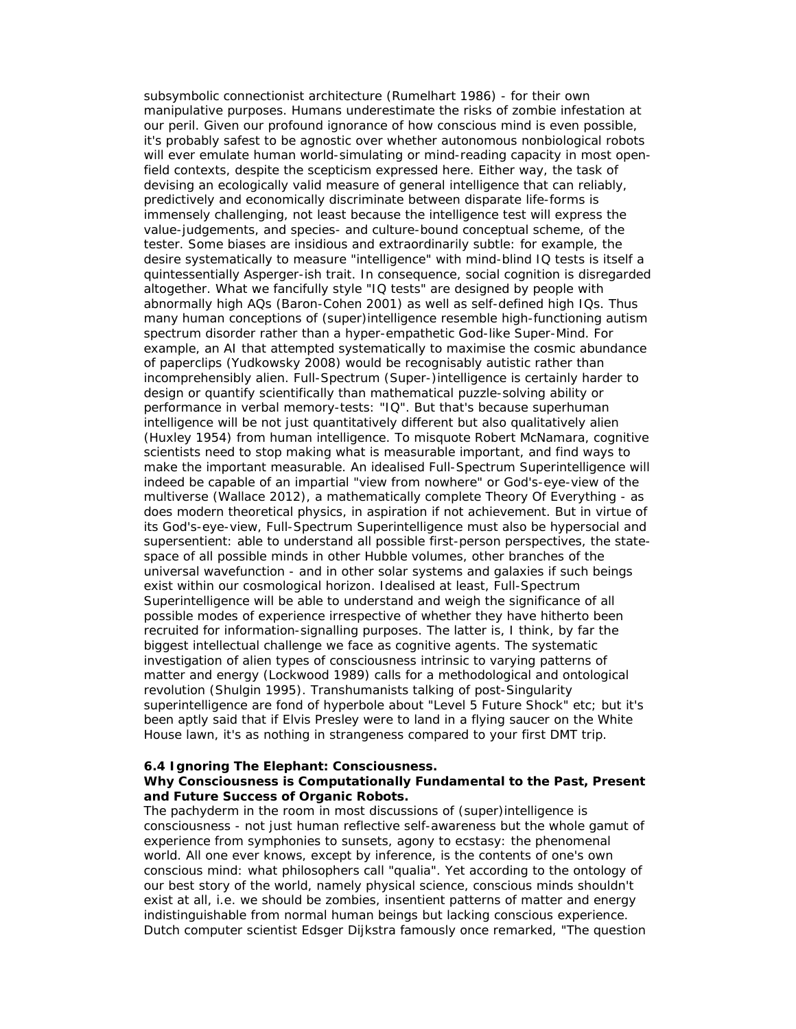subsymbolic connectionist architecture (Rumelhart 1986) - for their own manipulative purposes. Humans underestimate the risks of zombie infestation at our peril. Given our profound ignorance of how conscious mind is even possible, it's probably safest to be agnostic over whether autonomous nonbiological robots will ever emulate human world-simulating or mind-reading capacity in most openfield contexts, despite the scepticism expressed here. Either way, the task of devising an ecologically valid measure of general intelligence that can reliably, predictively and economically discriminate between disparate life-forms is immensely challenging, not least because the intelligence test will express the value-judgements, and species- and culture-bound conceptual scheme, of the tester. Some biases are insidious and extraordinarily subtle: for example, the desire systematically to measure "intelligence" with mind-blind IQ tests is itself a quintessentially Asperger-ish trait. In consequence, social cognition is disregarded altogether. What we fancifully style "IQ tests" are designed by people with abnormally high AQs (Baron-Cohen 2001) as well as self-defined high IQs. Thus many human conceptions of (super)intelligence resemble high-functioning autism spectrum disorder rather than a hyper-empathetic God-like Super-Mind. For example, an AI that attempted systematically to maximise the cosmic abundance of paperclips (Yudkowsky 2008) would be recognisably autistic rather than incomprehensibly alien. Full-Spectrum (Super-)intelligence is certainly harder to design or quantify scientifically than mathematical puzzle-solving ability or performance in verbal memory-tests: "IQ". But that's because superhuman intelligence will be not just quantitatively different but also qualitatively alien (Huxley 1954) from human intelligence. To misquote Robert McNamara, cognitive scientists need to stop making what is measurable important, and find ways to make the important measurable. An idealised Full-Spectrum Superintelligence will indeed be capable of an impartial "view from nowhere" or God's-eye-view of the multiverse (Wallace 2012), a mathematically complete Theory Of Everything - as does modern theoretical physics, in aspiration if not achievement. But in virtue of its God's-eye-view, Full-Spectrum Superintelligence must also be hypersocial and super*sentient*: able to understand all possible first-person perspectives, the statespace of all possible minds in other Hubble volumes, other branches of the universal wavefunction - and in other solar systems and galaxies if such beings exist within our cosmological horizon. Idealised at least, Full-Spectrum Superintelligence will be able to understand and weigh the significance of all possible modes of experience *irrespective of whether they have hitherto been recruited for information-signalling purposes*. The latter is, I think, by far the biggest intellectual challenge we face as cognitive agents. The systematic investigation of alien types of consciousness intrinsic to varying patterns of matter and energy (Lockwood 1989) calls for a methodological and ontological revolution (Shulgin 1995). Transhumanists talking of post-Singularity superintelligence are fond of hyperbole about "Level 5 Future Shock" etc; but it's been aptly said that if Elvis Presley were to land in a flying saucer on the White House lawn, it's as nothing in strangeness compared to your first DMT trip.

### **6.4 Ignoring The Elephant: Consciousness. Why Consciousness is Computationally Fundamental to the Past, Present and Future Success of Organic Robots.**

The pachyderm in the room in most discussions of (super)intelligence is consciousness - not just human reflective self-awareness but the whole gamut of experience from symphonies to sunsets, agony to ecstasy: the phenomenal world. All one ever knows, except by inference, is the contents of one's own conscious mind: what philosophers call "qualia". Yet according to the ontology of our best story of the world, namely physical science, *conscious* minds shouldn't exist at all, i.e. we should be zombies, insentient patterns of matter and energy indistinguishable from normal human beings but lacking conscious experience. Dutch computer scientist Edsger Dijkstra famously once remarked, "The question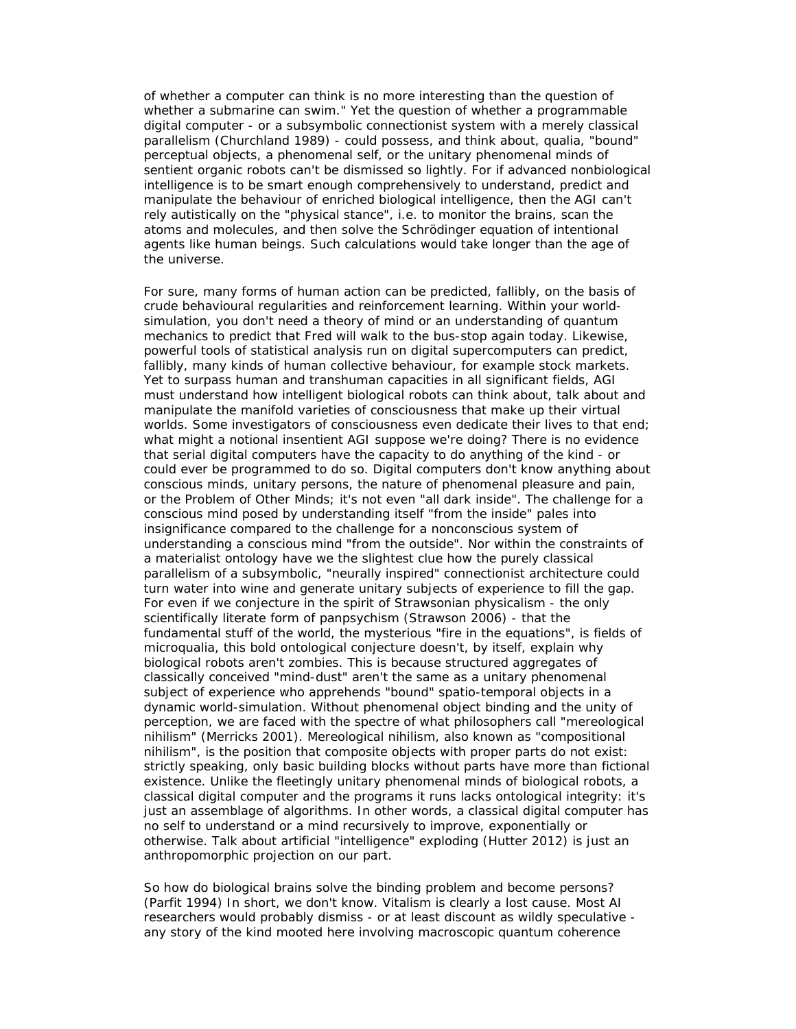of whether a computer can think is no more interesting than the question of whether a submarine can swim." Yet the question of whether a programmable digital computer - or a subsymbolic connectionist system with a merely classical parallelism (Churchland 1989) - could possess, *and think about*, qualia, "bound" perceptual objects, a phenomenal self, or the unitary phenomenal minds of sentient organic robots can't be dismissed so lightly. For if advanced nonbiological intelligence is to be smart enough comprehensively to understand, predict and manipulate the behaviour of enriched biological intelligence, then the AGI can't rely autistically on the "physical stance", i.e. to monitor the brains, scan the atoms and molecules, and then solve the Schrödinger equation of intentional agents like human beings. Such calculations would take longer than the age of the universe.

For sure, many forms of human action can be predicted, fallibly, on the basis of crude behavioural regularities and reinforcement learning. Within your worldsimulation, you don't need a theory of mind or an understanding of quantum mechanics to predict that Fred will walk to the bus-stop again today. Likewise, powerful tools of statistical analysis run on digital supercomputers can predict, fallibly, many kinds of human collective behaviour, for example stock markets. Yet to surpass human and transhuman capacities in all significant fields, AGI must understand how intelligent biological robots can think about, talk about and manipulate the manifold varieties of consciousness that make up their virtual worlds. Some investigators of consciousness even dedicate their lives to that end; what might a notional insentient AGI suppose we're doing? There is no evidence that serial digital computers have the capacity to do anything of the kind - or could ever be programmed to do so. Digital computers don't know anything about conscious minds, unitary persons, the nature of phenomenal pleasure and pain, or the Problem of Other Minds; it's not even "all dark inside". The challenge for a *conscious* mind posed by understanding itself "from the inside" pales into insignificance compared to the challenge for a nonconscious system of understanding a conscious mind "from the outside". Nor within the constraints of a materialist ontology have we the slightest clue how the purely classical parallelism of a subsymbolic, "neurally inspired" connectionist architecture could turn water into wine and generate *unitary* subjects of experience to fill the gap. For even if we conjecture in the spirit of Strawsonian physicalism - the only scientifically literate form of panpsychism (Strawson 2006) - that the fundamental stuff of the world, the mysterious "fire in the equations", is fields of microqualia, this bold ontological conjecture doesn't, by itself, explain why biological robots aren't zombies. This is because structured aggregates of classically conceived "mind-dust" aren't the same as a unitary phenomenal subject of experience who apprehends "bound" spatio-temporal objects in a dynamic world-simulation. Without phenomenal object binding and the unity of perception, we are faced with the spectre of what philosophers call "mereological nihilism" (Merricks 2001). Mereological nihilism, also known as "compositional nihilism", is the position that composite objects with proper parts do not exist: strictly speaking, only basic building blocks without parts have more than fictional existence. Unlike the fleetingly unitary phenomenal minds of biological robots, a classical digital computer and the programs it runs lacks ontological integrity: it's just an assemblage of algorithms. In other words, a classical digital computer has no self to understand or a mind recursively to improve, exponentially or otherwise. Talk about artificial "intelligence" exploding (Hutter 2012) is just an anthropomorphic projection on our part.

So how do biological brains solve the binding problem and become persons? (Parfit 1994) In short, we don't know. Vitalism is clearly a lost cause. Most AI researchers would probably dismiss - or at least discount as wildly speculative any story of the kind mooted here involving macroscopic quantum coherence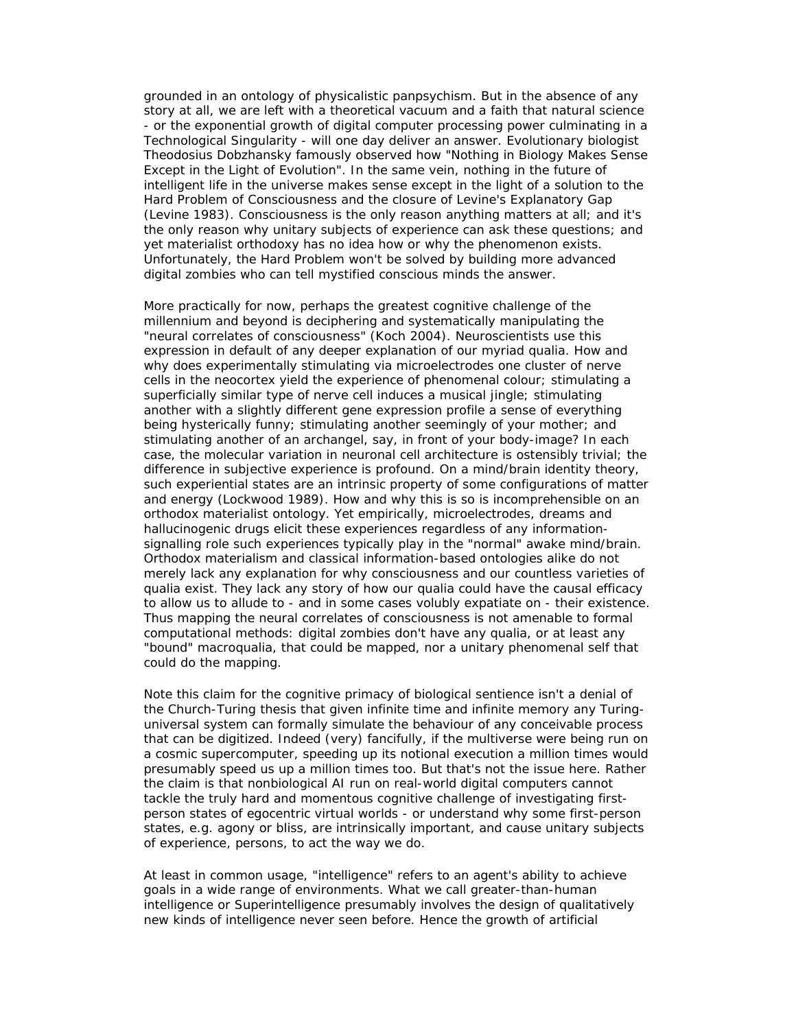grounded in an ontology of physicalistic panpsychism. But in the absence of any story at all, we are left with a theoretical vacuum and a faith that natural science - or the exponential growth of digital computer processing power culminating in a Technological Singularity - will one day deliver an answer. Evolutionary biologist Theodosius Dobzhansky famously observed how "Nothing in Biology Makes Sense Except in the Light of Evolution". In the same vein, nothing in the future of intelligent life in the universe makes sense except in the light of a solution to the Hard Problem of Consciousness and the closure of Levine's Explanatory Gap (Levine 1983). Consciousness is the only reason anything matters at all; and it's the only reason why unitary subjects of experience can ask these questions; and yet materialist orthodoxy has no idea how or why the phenomenon exists. Unfortunately, the Hard Problem won't be solved by building more advanced digital zombies who can tell mystified conscious minds the answer.

More practically for now, perhaps the greatest cognitive challenge of the millennium and beyond is deciphering and systematically manipulating the "neural correlates of consciousness" (Koch 2004). Neuroscientists use this expression in default of any deeper explanation of our myriad qualia. How and why does experimentally stimulating via microelectrodes one cluster of nerve cells in the neocortex yield the experience of phenomenal colour; stimulating a superficially similar type of nerve cell induces a musical jingle; stimulating another with a slightly different gene expression profile a sense of everything being hysterically funny; stimulating another seemingly of your mother; and stimulating another of an archangel, say, in front of your body-image? In each case, the molecular variation in neuronal cell architecture is ostensibly *trivial*; the difference in subjective experience is profound. On a mind/brain identity theory, such experiential states are an intrinsic property of some configurations of matter and energy (Lockwood 1989). How and why this is so is incomprehensible on an orthodox materialist ontology. Yet empirically, microelectrodes, dreams and hallucinogenic drugs elicit these experiences regardless of any informationsignalling role such experiences typically play in the "normal" awake mind/brain. Orthodox materialism and classical information-based ontologies alike do not merely lack any explanation for why consciousness and our countless varieties of qualia exist. They lack any story of how our qualia could have the causal efficacy to allow us to allude to - and in some cases volubly expatiate on - their existence. Thus mapping the neural correlates of consciousness is not amenable to formal computational methods: digital zombies don't have any qualia, or at least any "bound" macroqualia, that could be mapped, nor a unitary phenomenal self that could do the mapping.

Note this claim for the cognitive primacy of biological sentience isn't a denial of the Church-Turing thesis that given *infinite* time and *infinite* memory any Turinguniversal system can formally simulate the behaviour of any conceivable process that can be digitized. Indeed (very) fancifully, if the multiverse were being run on a cosmic supercomputer, speeding up its notional execution a million times would presumably speed us up a million times too. But that's not the issue here. Rather the claim is that nonbiological AI run on real-world digital computers cannot tackle the truly hard and momentous cognitive challenge of investigating firstperson states of egocentric virtual worlds - or understand why some first-person states, e.g. agony or bliss, are intrinsically important, and cause unitary subjects of experience, persons, to act the way we do.

At least in common usage, "intelligence" refers to an agent's ability to achieve goals in a wide range of environments. What we call greater-than-human intelligence or Superintelligence presumably involves the design of qualitatively *new* kinds of intelligence never seen before. Hence the growth of artificial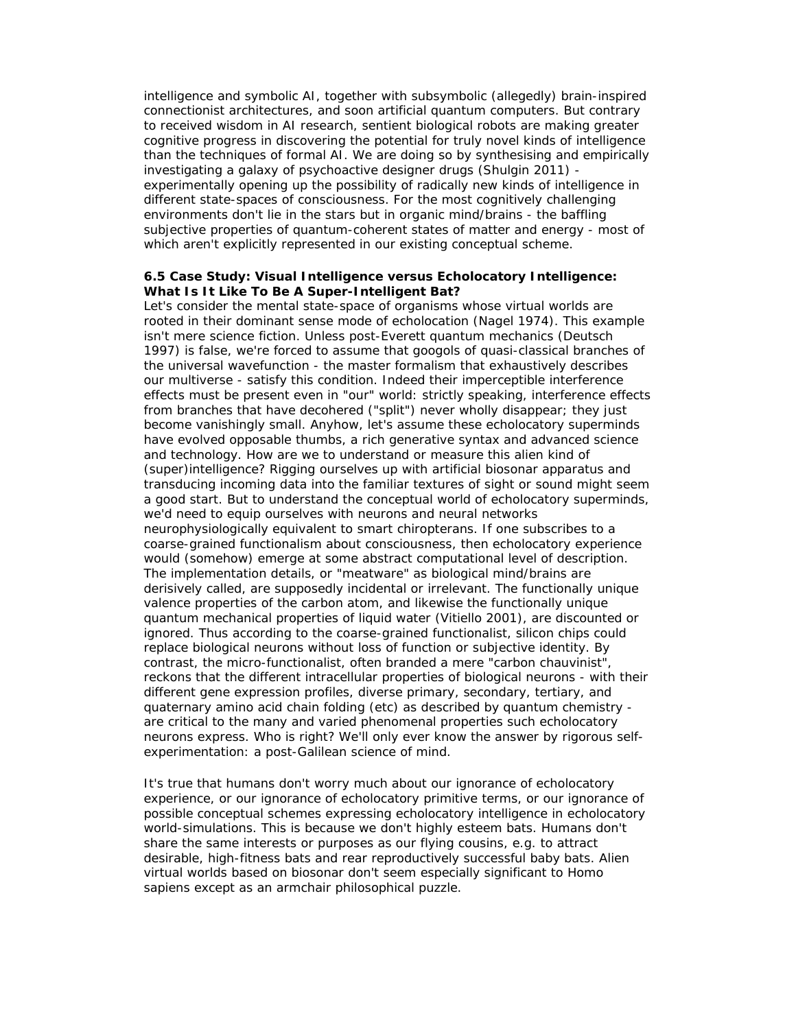intelligence and symbolic AI, together with subsymbolic (allegedly) brain-inspired connectionist architectures, and soon artificial quantum computers. But contrary to received wisdom in AI research, sentient biological robots are making greater cognitive progress in discovering the potential for truly novel kinds of intelligence than the techniques of formal AI. We are doing so by synthesising and empirically investigating a galaxy of psychoactive designer drugs (Shulgin 2011) experimentally opening up the possibility of radically new kinds of intelligence in different state-spaces of consciousness. For the most cognitively challenging environments don't lie in the stars but in organic mind/brains - the baffling subjective properties of quantum-coherent states of matter and energy - most of which aren't explicitly represented in our existing conceptual scheme.

### **6.5 Case Study: Visual Intelligence versus Echolocatory Intelligence: What Is It Like To Be A Super-Intelligent Bat?**

Let's consider the mental state-space of organisms whose virtual worlds are rooted in their dominant sense mode of echolocation (Nagel 1974). This example isn't mere science fiction. Unless post-Everett quantum mechanics (Deutsch 1997) is false, we're forced to assume that googols of quasi-classical branches of the universal wavefunction - the master formalism that exhaustively describes our multiverse - satisfy this condition. Indeed their imperceptible interference effects must be present even in "our" world: strictly speaking, interference effects from branches that have decohered ("split") never wholly disappear; they just become vanishingly small. Anyhow, let's assume these echolocatory superminds have evolved opposable thumbs, a rich generative syntax and advanced science and technology. How are we to understand or measure this alien kind of (super)intelligence? Rigging ourselves up with artificial biosonar apparatus and transducing incoming data into the familiar textures of sight or sound might seem a good start. But to understand the conceptual world of echolocatory superminds, we'd need to equip ourselves with neurons and neural networks neurophysiologically equivalent to smart chiropterans. If one subscribes to a coarse-grained functionalism about consciousness, then echolocatory experience would (somehow) emerge at some abstract computational level of description. The implementation details, or "meatware" as biological mind/brains are derisively called, are supposedly incidental or irrelevant. The functionally unique valence properties of the carbon atom, and likewise the functionally unique quantum mechanical properties of liquid water (Vitiello 2001), are discounted or ignored. Thus according to the coarse-grained functionalist, silicon chips could replace biological neurons without loss of function or subjective identity. By contrast, the *micro*-functionalist, often branded a mere "carbon chauvinist", reckons that the different intracellular properties of biological neurons - with their different gene expression profiles, diverse primary, secondary, tertiary, and quaternary amino acid chain folding (etc) as described by quantum chemistry are critical to the many and varied phenomenal properties such echolocatory neurons express. Who is right? We'll only ever know the answer by rigorous selfexperimentation: a post-Galilean science of mind.

It's true that humans don't worry much about our ignorance of echolocatory experience, or our ignorance of echolocatory primitive terms, or our ignorance of possible conceptual schemes expressing echolocatory intelligence in echolocatory world-simulations. This is because we don't highly esteem bats. Humans don't share the same interests or purposes as our flying cousins, e.g. to attract desirable, high-fitness bats and rear reproductively successful baby bats. Alien virtual worlds based on biosonar don't seem especially significant to *Homo sapiens* except as an armchair philosophical puzzle.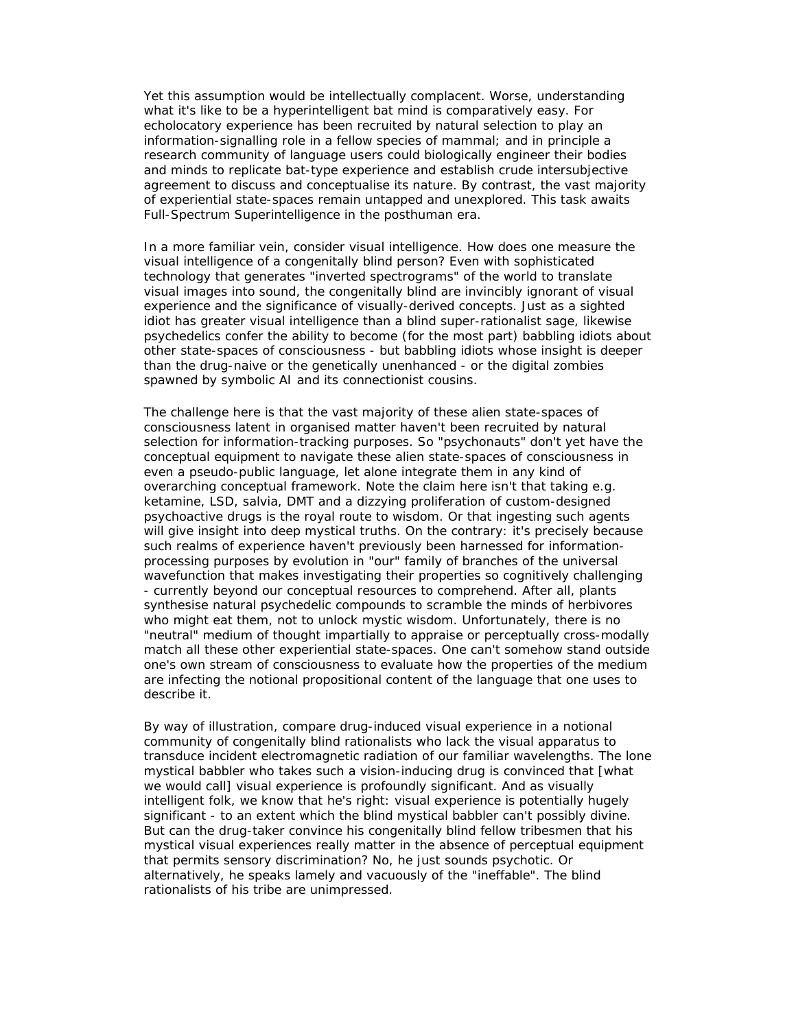Yet this assumption would be intellectually complacent. Worse, understanding what it's like to be a hyperintelligent bat mind is *comparatively* easy. For echolocatory experience has been recruited by natural selection to play an information-signalling role in a fellow species of mammal; and in principle a research community of language users could biologically engineer their bodies and minds to replicate bat-type experience and establish crude intersubjective agreement to discuss and conceptualise its nature. By contrast, the vast majority of experiential state-spaces remain untapped and unexplored. This task awaits Full-Spectrum Superintelligence in the posthuman era.

In a more familiar vein, consider visual intelligence. How does one measure the visual intelligence of a congenitally blind person? Even with sophisticated technology that generates "inverted spectrograms" of the world to translate visual images into sound, the congenitally blind are invincibly ignorant of visual experience and the significance of visually-derived concepts. Just as a sighted idiot has greater visual intelligence than a blind super-rationalist sage, likewise psychedelics confer the ability to become (for the most part) babbling idiots about other state-spaces of consciousness - but babbling idiots whose insight is deeper than the drug-naive or the genetically unenhanced - or the digital zombies spawned by symbolic AI and its connectionist cousins.

The challenge here is that the vast majority of these alien state-spaces of consciousness latent in organised matter haven't been recruited by natural selection for information-tracking purposes. So "psychonauts" don't yet have the conceptual equipment to navigate these alien state-spaces of consciousness in even a pseudo-public language, let alone integrate them in any kind of overarching conceptual framework. Note the claim here *isn't* that taking e.g. ketamine, LSD, salvia, DMT and a dizzying proliferation of custom-designed psychoactive drugs is the royal route to wisdom. Or that ingesting such agents will give insight into deep mystical truths. On the contrary: it's precisely because such realms of experience *haven't* previously been harnessed for informationprocessing purposes by evolution in "our" family of branches of the universal wavefunction that makes investigating their properties so cognitively challenging - currently beyond our conceptual resources to comprehend. After all, plants synthesise natural psychedelic compounds to scramble the minds of herbivores who might eat them, not to unlock mystic wisdom. Unfortunately, there is no "neutral" medium of thought impartially to appraise or perceptually cross-modally match all these other experiential state-spaces. One can't somehow stand outside one's own stream of consciousness to evaluate how the properties of the medium are infecting the notional propositional content of the language that one uses to describe it.

By way of illustration, compare drug-induced visual experience in a notional community of congenitally blind rationalists who lack the visual apparatus to transduce incident electromagnetic radiation of our familiar wavelengths. The lone mystical babbler who takes such a vision-inducing drug is convinced that [what we would call] visual experience is profoundly significant. And as visually intelligent folk, we know that he's right: visual experience is potentially hugely significant - to an extent which the blind mystical babbler can't possibly divine. But can the drug-taker convince his congenitally blind fellow tribesmen that his mystical visual experiences really matter in the absence of perceptual equipment that permits sensory discrimination? No, he just sounds psychotic. Or alternatively, he speaks lamely and vacuously of the "ineffable". The blind rationalists of his tribe are unimpressed.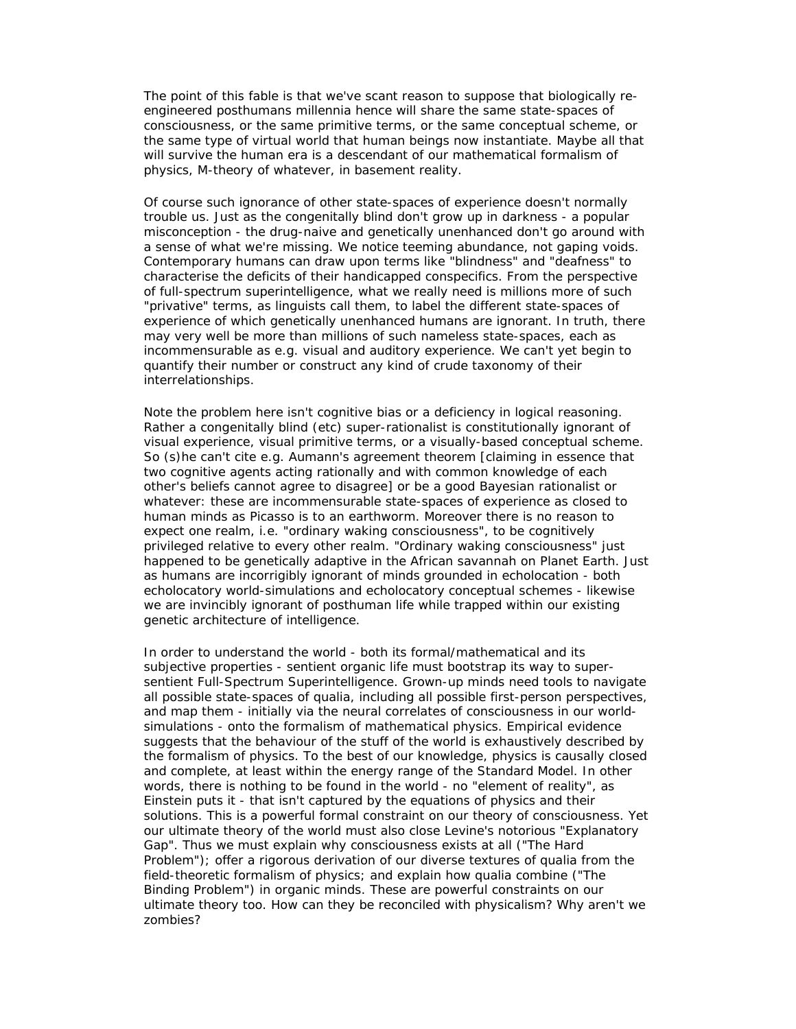The point of this fable is that we've scant reason to suppose that biologically reengineered posthumans millennia hence will share the same state-spaces of consciousness, or the same primitive terms, or the same conceptual scheme, or the same type of virtual world that human beings now instantiate. Maybe all that will survive the human era is a descendant of our mathematical formalism of physics, M-theory of whatever, in basement reality.

Of course such ignorance of other state-spaces of experience doesn't normally trouble us. Just as the congenitally blind don't grow up in darkness - a popular misconception - the drug-naive and genetically unenhanced don't go around with a sense of what we're missing. We notice teeming abundance, not gaping voids. Contemporary humans can draw upon terms like "blindness" and "deafness" to characterise the deficits of their handicapped conspecifics. From the perspective of full-spectrum superintelligence, what we really need is *millions* more of such "privative" terms, as linguists call them, to label the different state-spaces of experience of which genetically unenhanced humans are ignorant. In truth, there may very well be more than millions of such nameless state-spaces, each as incommensurable as e.g. visual and auditory experience. We can't yet begin to quantify their number or construct any kind of crude taxonomy of their interrelationships.

Note the problem here isn't cognitive bias or a deficiency in logical reasoning. Rather a congenitally blind (etc) super-rationalist is constitutionally ignorant of visual experience, visual primitive terms, or a visually-based conceptual scheme. So (s)he can't cite e.g. Aumann's agreement theorem [claiming in essence that two cognitive agents acting rationally and with common knowledge of each other's beliefs cannot agree to disagree] or be a good Bayesian rationalist or whatever: these are incommensurable state-spaces of experience as closed to human minds as Picasso is to an earthworm. Moreover there is no reason to expect one realm, i.e. "ordinary waking consciousness", to be cognitively privileged relative to every other realm. "Ordinary waking consciousness" just happened to be genetically adaptive in the African savannah on Planet Earth. Just as humans are incorrigibly ignorant of minds grounded in echolocation - both echolocatory world-simulations and echolocatory conceptual schemes - likewise we are invincibly ignorant of posthuman life while trapped within our existing genetic architecture of intelligence.

In order to understand the world - both its formal/mathematical *and* its subjective properties - sentient organic life must bootstrap its way to supersentient Full-Spectrum Superintelligence. Grown-up minds need tools to navigate all possible state-spaces of qualia, including all possible first-person perspectives, and map them - initially via the neural correlates of consciousness in our worldsimulations - onto the formalism of mathematical physics. Empirical evidence suggests that the behaviour of the stuff of the world is exhaustively described by the formalism of physics. To the best of our knowledge, physics is causally closed and complete, at least within the energy range of the Standard Model. In other words, there is nothing to be found in the world - no "element of reality", as Einstein puts it - that isn't captured by the equations of physics and their solutions. This is a powerful formal constraint on our theory of consciousness. Yet our ultimate theory of the world must also close Levine's notorious "Explanatory Gap". Thus we must explain why consciousness exists at all ("The Hard Problem"); offer a rigorous derivation of our diverse textures of qualia from the field-theoretic formalism of physics; and explain how qualia combine ("The Binding Problem") in organic minds. These are powerful constraints on our ultimate theory too. How can they be reconciled with physicalism? Why aren't we zombies?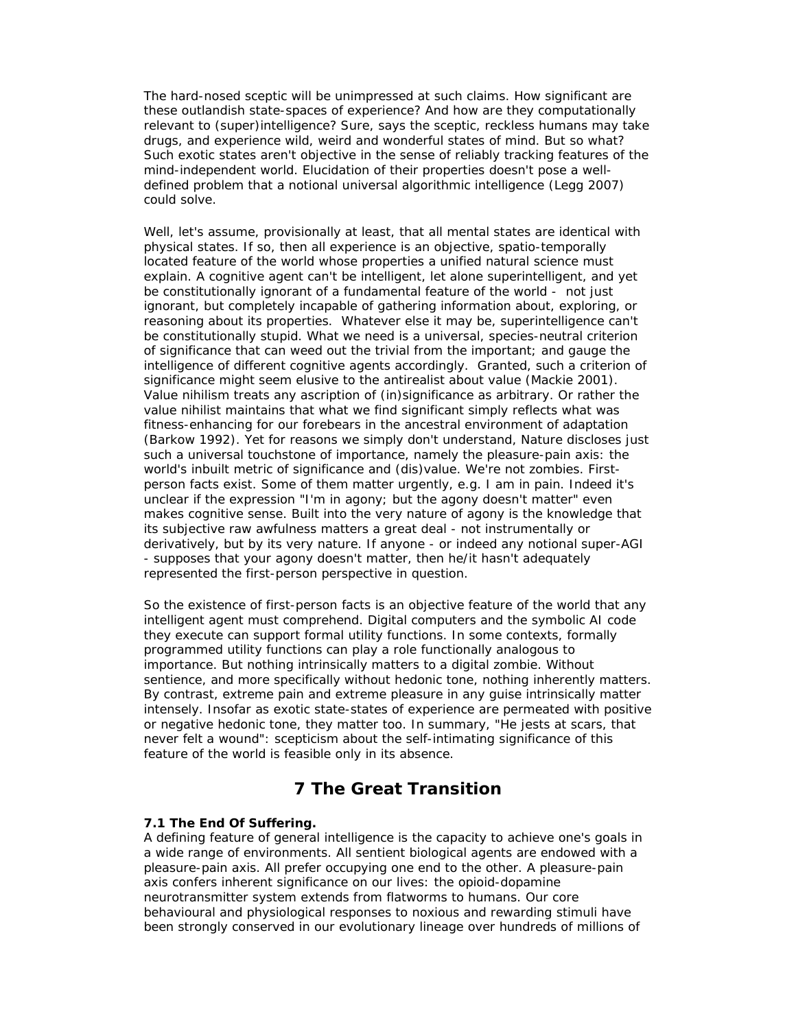The hard-nosed sceptic will be unimpressed at such claims. How *significant* are these outlandish state-spaces of experience? And how are they computationally relevant to (super)intelligence? Sure, says the sceptic, reckless humans may take drugs, and experience wild, weird and wonderful states of mind. But so what? Such exotic states aren't objective in the sense of reliably tracking features of the mind-independent world. Elucidation of their properties doesn't pose a welldefined problem that a notional universal algorithmic intelligence (Legg 2007) could solve.

Well, let's assume, provisionally at least, that all mental states are identical with physical states. If so, then all experience is an objective, spatio-temporally located feature of the world whose properties a unified natural science must explain. A cognitive agent can't be intelligent, let alone superintelligent, and yet be constitutionally ignorant of a fundamental feature of the world - not just ignorant, but completely incapable of gathering information about, exploring, or reasoning about its properties. Whatever else it may be, superintelligence can't be constitutionally *stupid*. What we need is a universal, species-neutral criterion of significance that can weed out the trivial from the important; and gauge the intelligence of different cognitive agents accordingly. Granted, such a criterion of significance might seem elusive to the antirealist about value (Mackie 2001). Value nihilism treats any ascription of (in)significance as arbitrary. Or rather the value nihilist maintains that what we find significant simply reflects what was fitness-enhancing for our forebears in the ancestral environment of adaptation (Barkow 1992). Yet for reasons we simply don't understand, Nature discloses just such a universal touchstone of importance, namely the pleasure-pain axis: the world's inbuilt metric of significance and (dis)value. We're not zombies. Firstperson facts exist. Some of them matter urgently, e.g. I am in pain. Indeed it's unclear if the expression "I'm in agony; but the agony doesn't matter" even makes cognitive sense. Built into the very nature of agony is the knowledge that its subjective raw awfulness matters a great deal - not instrumentally or derivatively, but by its very nature. If anyone - or indeed any notional super-AGI - supposes that your agony *doesn't* matter, then he/it hasn't adequately represented the first-person perspective in question.

So the existence of first-person facts is an objective feature of the world that any intelligent agent must comprehend. Digital computers and the symbolic AI code they execute can support formal utility functions. In some contexts, formally programmed utility functions can play a role functionally analogous to importance. But nothing intrinsically matters to a digital zombie. Without sentience, and more specifically without hedonic tone, nothing inherently matters. By contrast, extreme pain and extreme pleasure in any guise intrinsically matter intensely. Insofar as exotic state-states of experience are permeated with positive or negative hedonic tone, they matter too. In summary, "He jests at scars, that never felt a wound": scepticism about the self-intimating significance of this feature of the world is feasible only in its absence.

### **7 The Great Transition**

#### **7.1 The End Of Suffering.**

A defining feature of general intelligence is the capacity to achieve one's goals in a wide range of environments. All sentient biological agents are endowed with a pleasure-pain axis. All prefer occupying one end to the other. A pleasure-pain axis confers inherent significance on our lives: the opioid-dopamine neurotransmitter system extends from flatworms to humans. Our core behavioural and physiological responses to noxious and rewarding stimuli have been strongly conserved in our evolutionary lineage over hundreds of millions of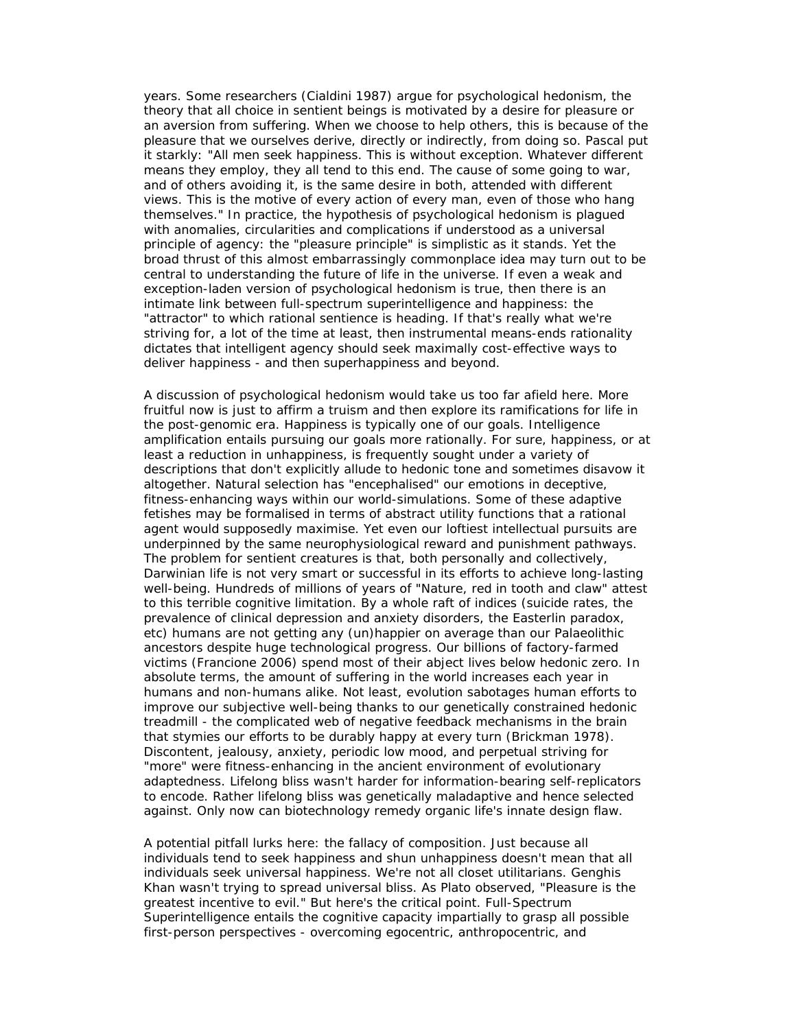years. Some researchers (Cialdini 1987) argue for *psychological hedonism*, the theory that all choice in sentient beings is motivated by a desire for pleasure or an aversion from suffering. When we choose to help others, this is because of the pleasure that we ourselves derive, directly or indirectly, from doing so. Pascal put it starkly: "All men seek happiness. This is without exception. Whatever different means they employ, they all tend to this end. The cause of some going to war, and of others avoiding it, is the same desire in both, attended with different views. This is the motive of every action of every man, even of those who hang themselves." In practice, the hypothesis of psychological hedonism is plagued with anomalies, circularities and complications if understood as a universal principle of agency: the "pleasure principle" is simplistic as it stands. Yet the broad thrust of this almost embarrassingly commonplace idea may turn out to be central to understanding the future of life in the universe. If even a weak and exception-laden version of psychological hedonism is true, then there is an intimate link between full-spectrum superintelligence and happiness: the "attractor" to which rational sentience is heading. If that's really what we're striving for, a lot of the time at least, then instrumental means-ends rationality dictates that intelligent agency should seek maximally cost-effective ways to deliver happiness - and then superhappiness and beyond.

A discussion of psychological hedonism would take us too far afield here. More fruitful now is just to affirm a truism and then explore its ramifications for life in the post-genomic era. Happiness is typically one of our goals. Intelligence amplification entails pursuing our goals more rationally. For sure, happiness, or at least a reduction in unhappiness, is frequently sought under a variety of descriptions that don't explicitly allude to hedonic tone and sometimes disavow it altogether. Natural selection has "encephalised" our emotions in deceptive, fitness-enhancing ways within our world-simulations. Some of these adaptive fetishes may be formalised in terms of abstract utility functions that a rational agent would supposedly maximise. Yet even our loftiest intellectual pursuits are underpinned by the same neurophysiological reward and punishment pathways. The problem for sentient creatures is that, both personally and collectively, Darwinian life is not very smart or successful in its efforts to achieve long-lasting well-being. Hundreds of millions of years of "Nature, red in tooth and claw" attest to this terrible cognitive limitation. By a whole raft of indices (suicide rates, the prevalence of clinical depression and anxiety disorders, the Easterlin paradox, etc) humans are not getting any (un)happier on average than our Palaeolithic ancestors despite huge technological progress. Our billions of factory-farmed victims (Francione 2006) spend most of their abject lives below hedonic zero. In absolute terms, the amount of suffering in the world increases each year in humans and non-humans alike. Not least, evolution sabotages human efforts to improve our subjective well-being thanks to our genetically constrained hedonic treadmill - the complicated web of negative feedback mechanisms in the brain that stymies our efforts to be durably happy at every turn (Brickman 1978). Discontent, jealousy, anxiety, periodic low mood, and perpetual striving for "more" were fitness-enhancing in the ancient environment of evolutionary adaptedness. Lifelong bliss wasn't harder for information-bearing self-replicators to encode. Rather lifelong bliss was genetically maladaptive and hence selected against. Only now can biotechnology remedy organic life's innate design flaw.

A potential pitfall lurks here: the fallacy of composition. Just because all individuals tend to seek happiness and shun unhappiness doesn't mean that all individuals seek universal happiness. We're not all closet utilitarians. Genghis Khan wasn't trying to spread universal bliss. As Plato observed, "Pleasure is the greatest incentive to evil." But here's the critical point. Full-Spectrum Superintelligence entails the cognitive capacity impartially to grasp all possible first-person perspectives - overcoming egocentric, anthropocentric, and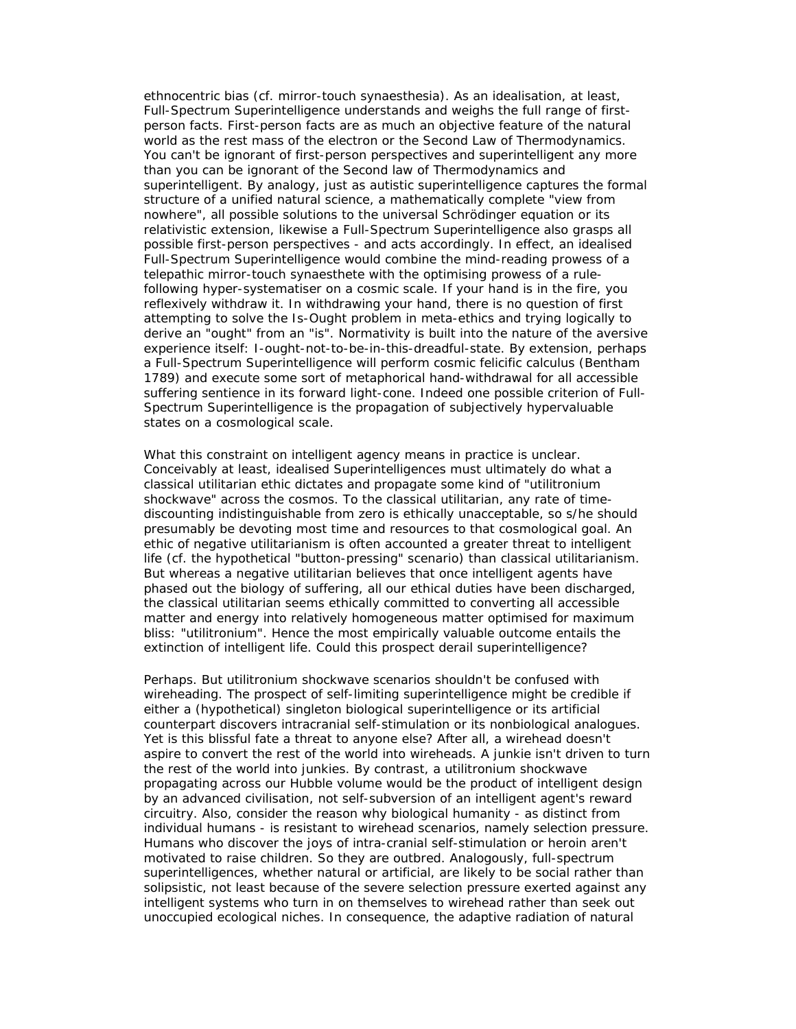ethnocentric bias (*cf*. mirror-touch synaesthesia). As an idealisation, at least, Full-Spectrum Superintelligence understands and weighs the full range of firstperson facts. First-person facts are as much an objective feature of the natural world as the rest mass of the electron or the Second Law of Thermodynamics. You can't be ignorant of first-person perspectives and superintelligent any more than you can be ignorant of the Second law of Thermodynamics and superintelligent. By analogy, just as autistic superintelligence captures the formal structure of a unified natural science, a mathematically complete "view from nowhere", all possible solutions to the universal Schrödinger equation or its relativistic extension, likewise a Full-Spectrum Superintelligence also grasps all possible first-person perspectives - and acts accordingly. In effect, an idealised Full-Spectrum Superintelligence would combine the mind-reading prowess of a telepathic mirror-touch synaesthete with the optimising prowess of a rulefollowing hyper-systematiser on a cosmic scale. If your hand is in the fire, you reflexively withdraw it. In withdrawing your hand, there is no question of first attempting to solve the Is-Ought problem in meta-ethics and trying logically to derive an "ought" from an "is". Normativity is built into the nature of the aversive experience itself: I-ought-not-to-be-in-this-dreadful-state. By extension, perhaps a Full-Spectrum Superintelligence will perform cosmic felicific calculus (Bentham 1789) and execute some sort of metaphorical hand-withdrawal for all accessible suffering sentience in its forward light-cone. Indeed one possible *criterion* of Full-Spectrum Superintelligence is the propagation of subjectively hypervaluable states on a cosmological scale.

What this constraint on intelligent agency means in practice is unclear. Conceivably at least, idealised Superintelligences must ultimately do what a classical utilitarian ethic dictates and propagate some kind of "utilitronium shockwave" across the cosmos. To the classical utilitarian, any rate of timediscounting indistinguishable from zero is ethically unacceptable, so s/he should presumably be devoting most time and resources to that cosmological goal. An ethic of negative utilitarianism is often accounted a greater threat to intelligent life (*cf*. the hypothetical "button-pressing" scenario) than classical utilitarianism. But whereas a negative utilitarian believes that once intelligent agents have phased out the biology of suffering, all our ethical duties have been discharged, the classical utilitarian seems ethically committed to converting all accessible matter and energy into relatively homogeneous matter optimised for maximum bliss: "utilitronium". Hence the most empirically valuable outcome entails the extinction of intelligent life. Could this prospect derail superintelligence?

Perhaps. But utilitronium shockwave scenarios shouldn't be confused with *wireheading*. The prospect of self-limiting superintelligence might be credible if either a (hypothetical) singleton biological superintelligence or its artificial counterpart discovers intracranial self-stimulation or its nonbiological analogues. Yet is this blissful fate a threat to anyone else? After all, a wirehead doesn't aspire to convert the rest of the world into wireheads. A junkie isn't driven to turn the rest of the world into junkies. By contrast, a utilitronium shockwave propagating across our Hubble volume would be the product of intelligent design by an advanced civilisation, not self-subversion of an intelligent agent's reward circuitry. Also, consider the reason why biological humanity - as distinct from individual humans - is resistant to wirehead scenarios, namely *selection pressure*. Humans who discover the joys of intra-cranial self-stimulation or heroin aren't motivated to raise children. So they are outbred. Analogously, full-spectrum superintelligences, whether natural or artificial, are likely to be social rather than solipsistic, not least because of the severe selection pressure exerted against any intelligent systems who turn in on themselves to wirehead rather than seek out unoccupied ecological niches. In consequence, the adaptive radiation of natural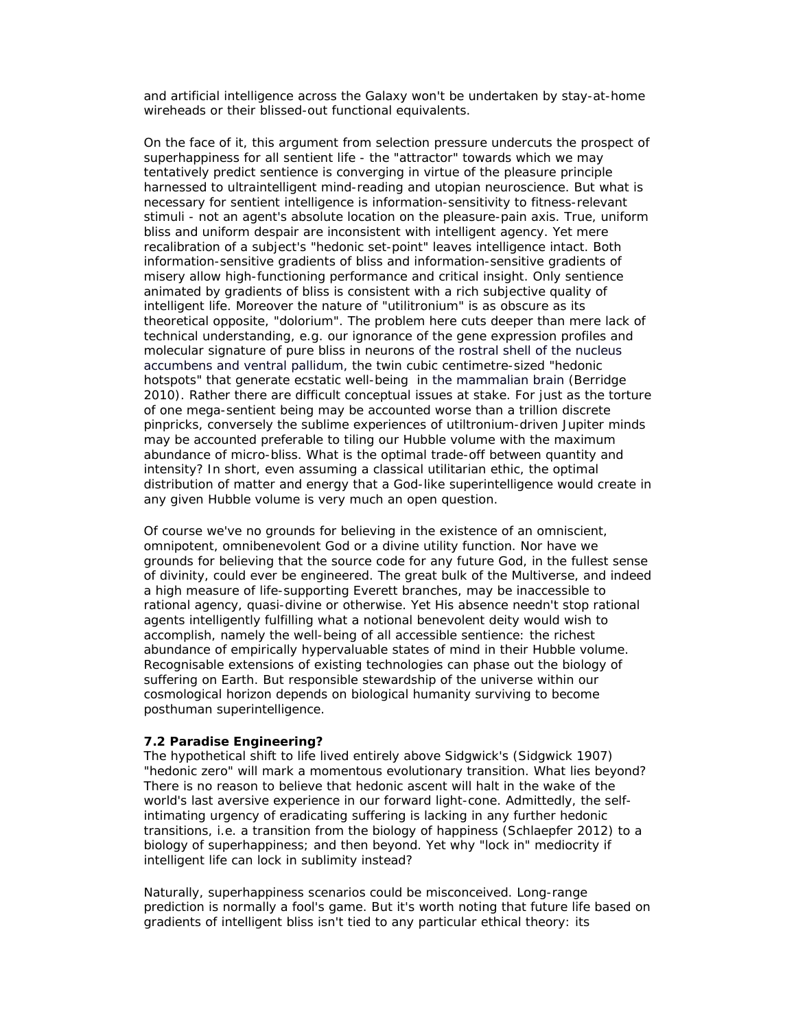and artificial intelligence across the Galaxy won't be undertaken by stay-at-home wireheads or their blissed-out functional equivalents.

On the face of it, this argument from selection pressure undercuts the prospect of superhappiness for all sentient life - the "attractor" towards which we may tentatively predict sentience is converging in virtue of the pleasure principle harnessed to ultraintelligent mind-reading and utopian neuroscience. But what is necessary for sentient intelligence is information-sensitivity to fitness-relevant stimuli - not an agent's absolute location on the pleasure-pain axis. True, uniform bliss and uniform despair are inconsistent with intelligent agency. Yet mere recalibration of a subject's "hedonic set-point" leaves intelligence intact. Both information-sensitive gradients of bliss and information-sensitive gradients of misery allow high-functioning performance and critical insight. Only sentience animated by gradients of bliss is consistent with a rich subjective quality of intelligent life. Moreover the nature of "utilitronium" is as obscure as its theoretical opposite, "dolorium". The problem here cuts deeper than mere lack of technical understanding, e.g. our ignorance of the gene expression profiles and molecular signature of pure bliss in neurons of the rostral shell of the nucleus accumbens and ventral pallidum, the twin cubic centimetre-sized "hedonic hotspots" that generate ecstatic well-being in the mammalian brain (Berridge 2010). Rather there are difficult conceptual issues at stake. For just as the torture of one mega-sentient being may be accounted worse than a trillion discrete pinpricks, conversely the sublime experiences of utiltronium-driven Jupiter minds may be accounted preferable to tiling our Hubble volume with the maximum abundance of micro-bliss. What is the optimal trade-off between quantity and intensity? In short, even assuming a classical utilitarian ethic, the optimal distribution of matter and energy that a God-like superintelligence would create in any given Hubble volume is very much an open question.

Of course we've no grounds for believing in the existence of an omniscient, omnipotent, omnibenevolent God or a divine utility function. Nor have we grounds for believing that the source code for any future God, in the fullest sense of divinity, could ever be engineered. The great bulk of the Multiverse, and indeed a high measure of life-supporting Everett branches, may be inaccessible to rational agency, quasi-divine or otherwise. Yet His absence needn't stop rational agents intelligently fulfilling what a notional benevolent deity would wish to accomplish, namely the well-being of all accessible sentience: the richest abundance of empirically hypervaluable states of mind in their Hubble volume. Recognisable extensions of existing technologies can phase out the biology of suffering on Earth. But responsible stewardship of the universe within our cosmological horizon depends on biological humanity surviving to become posthuman superintelligence.

#### **7.2 Paradise Engineering?**

The hypothetical shift to life lived entirely above Sidgwick's (Sidgwick 1907) "hedonic zero" will mark a momentous evolutionary transition. What lies beyond? There is no reason to believe that hedonic ascent will halt in the wake of the world's last aversive experience in our forward light-cone. Admittedly, the selfintimating urgency of eradicating *suffering* is lacking in any further hedonic transitions, i.e. a transition from the biology of happiness (Schlaepfer 2012) to a biology of superhappiness; and then beyond. Yet why "lock in" mediocrity if intelligent life can lock in sublimity instead?

Naturally, superhappiness scenarios could be misconceived. Long-range prediction is normally a fool's game. But it's worth noting that future life based on gradients of intelligent bliss isn't tied to any particular ethical theory: its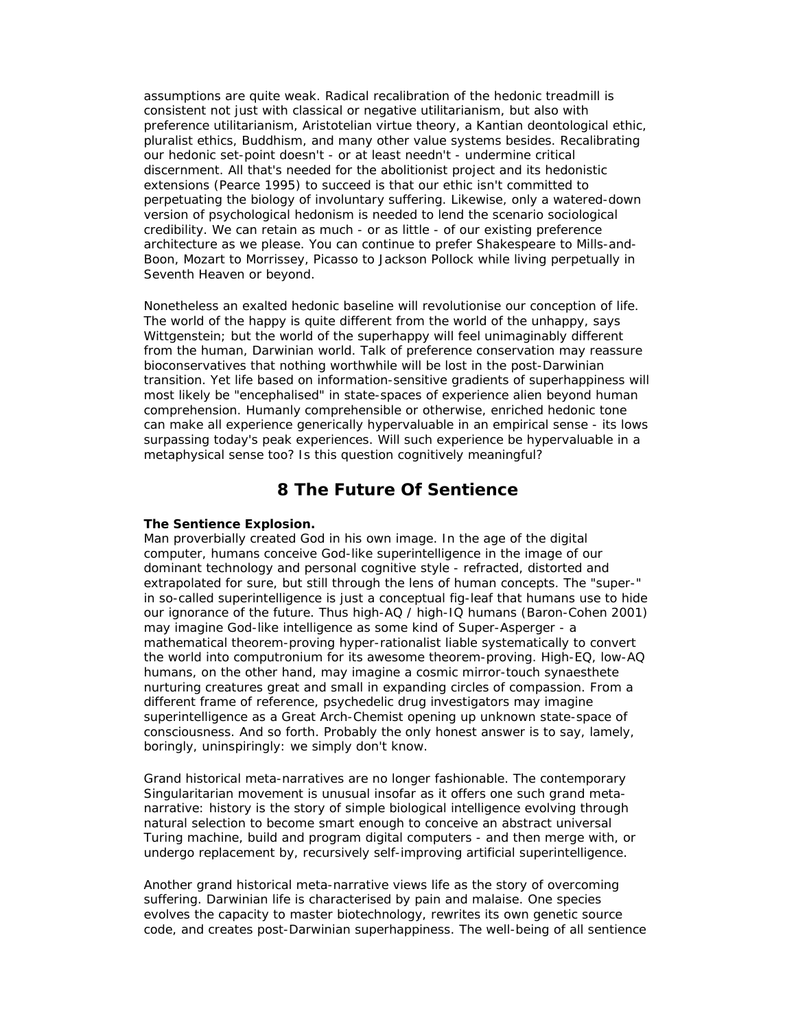assumptions are quite weak. Radical recalibration of the hedonic treadmill is consistent not just with classical or negative utilitarianism, but also with preference utilitarianism, Aristotelian virtue theory, a Kantian deontological ethic, pluralist ethics, Buddhism, and many other value systems besides. Recalibrating our hedonic set-point doesn't - or at least needn't - undermine critical discernment. All that's needed for the abolitionist project and its hedonistic extensions (Pearce 1995) to succeed is that our ethic isn't committed to perpetuating the biology of involuntary suffering. Likewise, only a watered-down version of psychological hedonism is needed to lend the scenario sociological credibility. We can retain as much - or as little - of our existing preference architecture as we please. You can continue to prefer Shakespeare to Mills-and-Boon, Mozart to Morrissey, Picasso to Jackson Pollock while living perpetually in Seventh Heaven or beyond.

Nonetheless an exalted hedonic baseline will revolutionise our conception of life. The world of the happy is quite different from the world of the unhappy, says Wittgenstein; but the world of the superhappy will feel unimaginably different from the human, Darwinian world. Talk of preference conservation may reassure bioconservatives that nothing worthwhile will be lost in the post-Darwinian transition. Yet life based on information-sensitive gradients of superhappiness will most likely be "encephalised" in state-spaces of experience alien beyond human comprehension. Humanly comprehensible or otherwise, enriched hedonic tone can make all experience generically hypervaluable in an empirical sense - its lows surpassing today's peak experiences. Will such experience be hypervaluable in a metaphysical sense too? Is this question cognitively meaningful?

### **8 The Future Of Sentience**

#### **The Sentience Explosion.**

Man proverbially created God in his own image. In the age of the digital computer, humans conceive God-like *super*intelligence in the image of our dominant technology and personal cognitive style - refracted, distorted and extrapolated for sure, but still through the lens of human concepts. The "super-" in so-called superintelligence is just a conceptual fig-leaf that humans use to hide our ignorance of the future. Thus high-AQ / high-IQ humans (Baron-Cohen 2001) may imagine God-like intelligence as some kind of Super-Asperger - a mathematical theorem-proving hyper-rationalist liable systematically to convert the world into computronium for its awesome theorem-proving. High-EQ, low-AQ humans, on the other hand, may imagine a cosmic mirror-touch synaesthete nurturing creatures great and small in expanding circles of compassion. From a different frame of reference, psychedelic drug investigators may imagine superintelligence as a Great Arch-Chemist opening up unknown state-space of consciousness. And so forth. Probably the only honest answer is to say, lamely, boringly, uninspiringly: we simply don't know.

Grand historical meta-narratives are no longer fashionable. The contemporary Singularitarian movement is unusual insofar as it offers one such grand metanarrative: history is the story of simple biological intelligence evolving through natural selection to become smart enough to conceive an abstract universal Turing machine, build and program digital computers - and then merge with, or undergo replacement by, recursively self-improving artificial superintelligence.

Another grand historical meta-narrative views life as the story of overcoming suffering. Darwinian life is characterised by pain and malaise. One species evolves the capacity to master biotechnology, rewrites its own genetic source code, and creates post-Darwinian superhappiness. The well-being of all sentience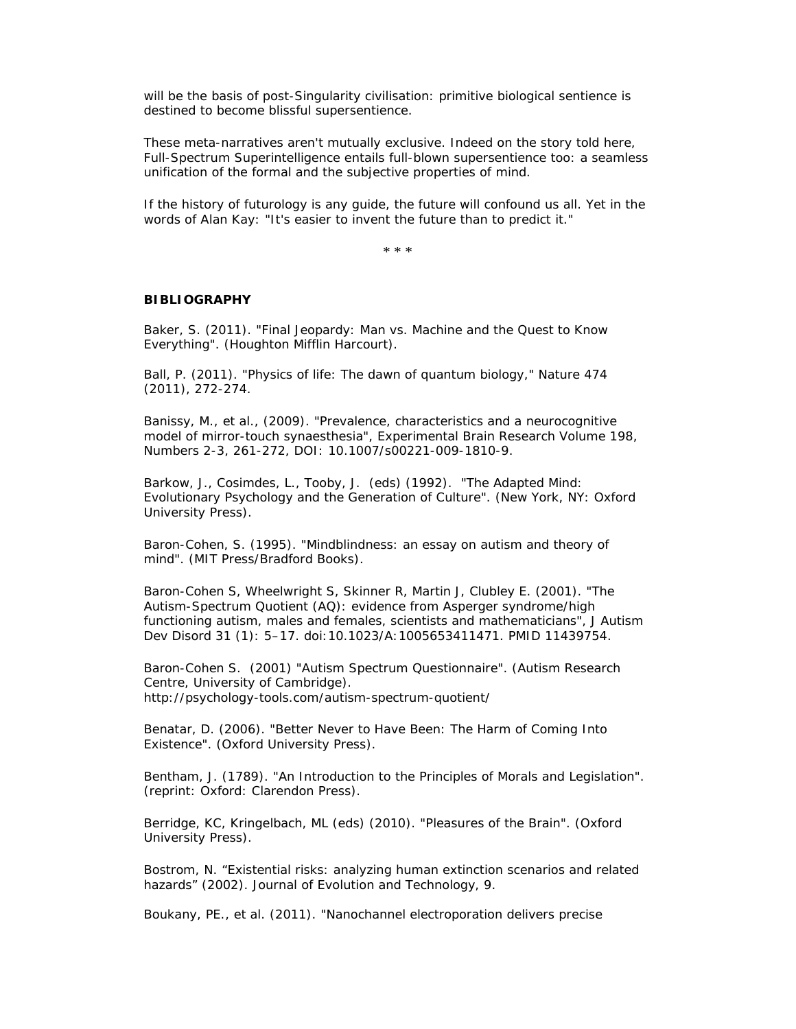will be the basis of post-Singularity civilisation: primitive biological sentience is destined to become blissful supersentience.

These meta-narratives aren't mutually exclusive. Indeed on the story told here, Full-Spectrum Superintelligence entails full-blown supersentience too: a seamless unification of the formal and the subjective properties of mind.

If the history of futurology is any guide, the future will confound us all. Yet in the words of Alan Kay: "It's easier to invent the future than to predict it."

\* \* \*

### **BIBLIOGRAPHY**

Baker, S. (2011). "Final Jeopardy: Man vs. Machine and the Quest to Know Everything". (Houghton Mifflin Harcourt).

Ball, P. (2011). "Physics of life: The dawn of quantum biology," *Nature* 474 (2011), 272-274.

Banissy, M., *et al*., (2009). "Prevalence, characteristics and a neurocognitive model of mirror-touch synaesthesia", *Experimental Brain Research* Volume 198, Numbers 2-3, 261-272, DOI: 10.1007/s00221-009-1810-9.

Barkow, J., Cosimdes, L., Tooby, J. (eds) (1992). "The Adapted Mind: Evolutionary Psychology and the Generation of Culture". (New York, NY: Oxford University Press).

Baron-Cohen, S. (1995). "Mindblindness: an essay on autism and theory of mind". (MIT Press/Bradford Books).

Baron-Cohen S, Wheelwright S, Skinner R, Martin J, Clubley E. (2001). "The Autism-Spectrum Quotient (AQ): evidence from Asperger syndrome/high functioning autism, males and females, scientists and mathematicians", *J Autism Dev Disord* 31 (1): 5–17. doi:10.1023/A:1005653411471. PMID 11439754.

Baron-Cohen S. (2001) "Autism Spectrum Questionnaire". (Autism Research Centre, University of Cambridge). http://psychology-tools.com/autism-spectrum-quotient/

Benatar, D. (2006). "Better Never to Have Been: The Harm of Coming Into Existence". (Oxford University Press).

Bentham, J. (1789). "An Introduction to the Principles of Morals and Legislation". (reprint: Oxford: Clarendon Press).

Berridge, KC, Kringelbach, ML (eds) (2010). "Pleasures of the Brain". (Oxford University Press).

Bostrom, N. "Existential risks: analyzing human extinction scenarios and related hazards" (2002). *Journal of Evolution and Technology*, 9.

Boukany, PE., *et al*. (2011). "Nanochannel electroporation delivers precise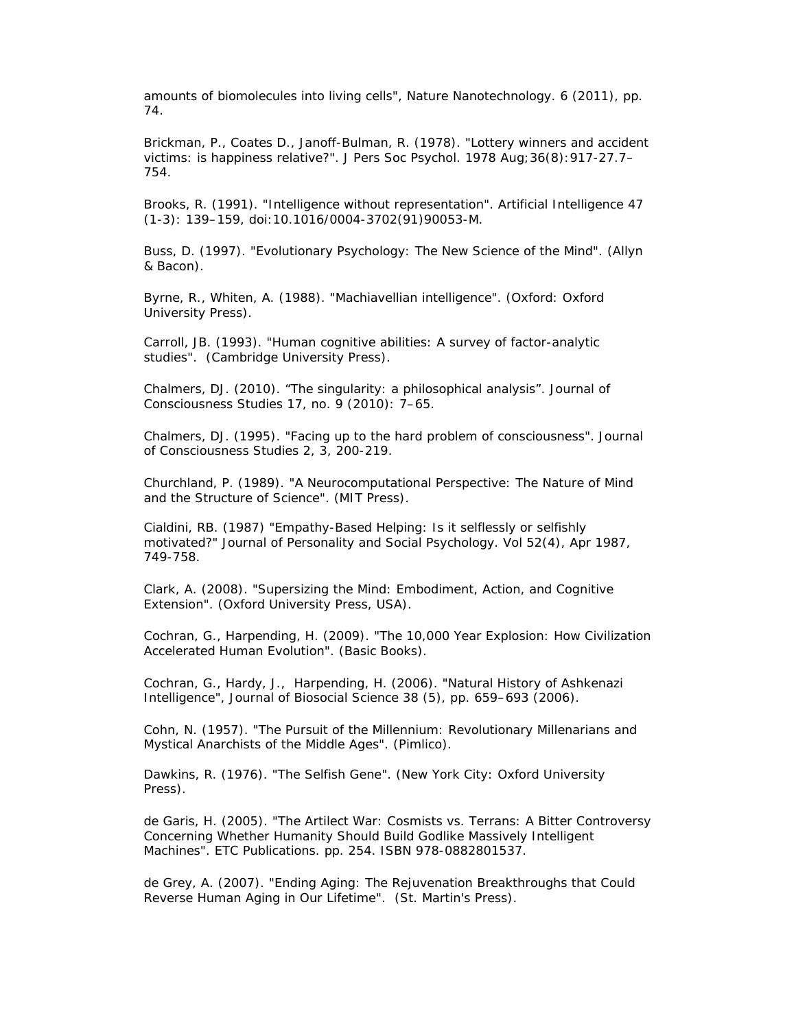amounts of biomolecules into living cells", *Nature Nanotechnology*. 6 (2011), pp. 74.

Brickman, P., Coates D., Janoff-Bulman, R. (1978). "Lottery winners and accident victims: is happiness relative*?". J Pers Soc Psychol*. 1978 Aug;36(8):917-27.7– 754.

Brooks, R. (1991). "Intelligence without representation". *Artificial Intelligence* 47 (1-3): 139–159, doi:10.1016/0004-3702(91)90053-M.

Buss, D. (1997). "Evolutionary Psychology: The New Science of the Mind". (Allyn & Bacon).

Byrne, R., Whiten, A. (1988). "Machiavellian intelligence". (Oxford: Oxford University Press).

Carroll, JB. (1993). "Human cognitive abilities: A survey of factor-analytic studies". (Cambridge University Press).

Chalmers, DJ. (2010). "The singularity: a philosophical analysis". *Journal of Consciousness Studies* 17, no. 9 (2010): 7–65.

Chalmers, DJ. (1995). "Facing up to the hard problem of consciousness". *Journal of Consciousness Studies* 2, 3, 200-219.

Churchland, P. (1989). "A Neurocomputational Perspective: The Nature of Mind and the Structure of Science". (MIT Press).

Cialdini, RB. (1987) "Empathy-Based Helping: Is it selflessly or selfishly motivated?" *Journal of Personality and Social Psychology*. Vol 52(4), Apr 1987, 749-758.

Clark, A. (2008). "Supersizing the Mind: Embodiment, Action, and Cognitive Extension". (Oxford University Press, USA).

Cochran, G., Harpending, H. (2009). "The 10,000 Year Explosion: How Civilization Accelerated Human Evolution". (Basic Books).

Cochran, G., Hardy, J., Harpending, H. (2006). "Natural History of Ashkenazi Intelligence*", Journal of Biosocial Science* 38 (5), pp. 659–693 (2006).

Cohn, N. (1957). "The Pursuit of the Millennium: Revolutionary Millenarians and Mystical Anarchists of the Middle Ages". (Pimlico).

Dawkins, R. (1976). "The Selfish Gene". (New York City: Oxford University Press).

de Garis, H. (2005). "The Artilect War: Cosmists vs. Terrans: A Bitter Controversy Concerning Whether Humanity Should Build Godlike Massively Intelligent Machines". ETC Publications. pp. 254. ISBN 978-0882801537.

de Grey, A. (2007). "Ending Aging: The Rejuvenation Breakthroughs that Could Reverse Human Aging in Our Lifetime". (St. Martin's Press).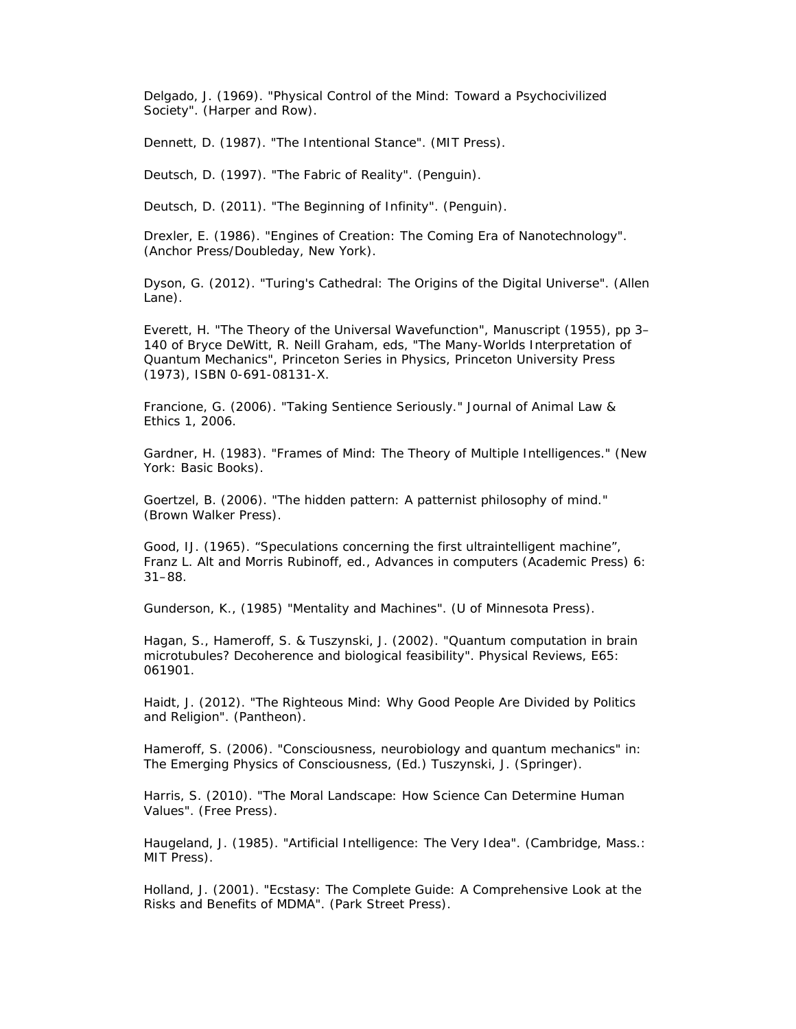Delgado, J. (1969). "Physical Control of the Mind: Toward a Psychocivilized Society". (Harper and Row).

Dennett, D. (1987). "The Intentional Stance". (MIT Press).

Deutsch, D. (1997). "The Fabric of Reality". (Penguin).

Deutsch, D. (2011). "The Beginning of Infinity". (Penguin).

Drexler, E. (1986). "Engines of Creation: The Coming Era of Nanotechnology". (Anchor Press/Doubleday, New York).

Dyson, G. (2012). "Turing's Cathedral: The Origins of the Digital Universe". (Allen Lane).

Everett, H. "The Theory of the Universal Wavefunction", Manuscript (1955), pp 3– 140 of Bryce DeWitt, R. Neill Graham, eds, "The Many-Worlds Interpretation of Quantum Mechanics", Princeton Series in Physics, Princeton University Press (1973), ISBN 0-691-08131-X.

Francione, G. (2006). "Taking Sentience Seriously." Journal *of Animal Law & Ethics* 1, 2006.

Gardner, H. (1983). "Frames of Mind: The Theory of Multiple Intelligences." (New York: Basic Books).

Goertzel, B. (2006). "The hidden pattern: A patternist philosophy of mind." (Brown Walker Press).

Good, IJ. (1965). "Speculations concerning the first ultraintelligent machine", Franz L. Alt and Morris Rubinoff, ed., Advances in computers (Academic Press) 6: 31–88.

Gunderson, K., (1985) "Mentality and Machines". (U of Minnesota Press).

Hagan, S., Hameroff, S. & Tuszynski, J. (2002). "Quantum computation in brain microtubules? Decoherence and biological feasibility". *Physical Reviews*, E65: 061901.

Haidt, J. (2012). "The Righteous Mind: Why Good People Are Divided by Politics and Religion". (Pantheon).

Hameroff, S. (2006). "Consciousness, neurobiology and quantum mechanics" in: The Emerging Physics of Consciousness, (Ed.) Tuszynski, J. (Springer).

Harris, S. (2010). "The Moral Landscape: How Science Can Determine Human Values". (Free Press).

Haugeland, J. (1985). "Artificial Intelligence: The Very Idea". (Cambridge, Mass.: MIT Press).

Holland, J. (2001). "Ecstasy: The Complete Guide: A Comprehensive Look at the Risks and Benefits of MDMA". (Park Street Press).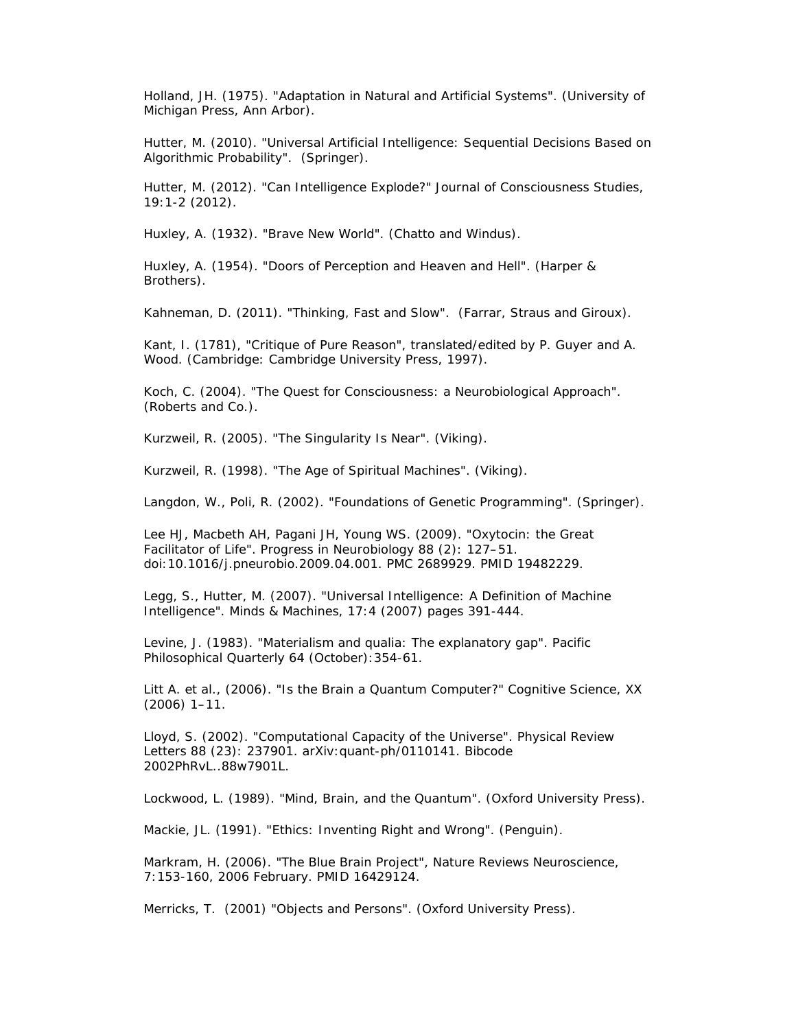Holland, JH. (1975). "Adaptation in Natural and Artificial Systems". (University of Michigan Press, Ann Arbor).

Hutter, M. (2010). "Universal Artificial Intelligence: Sequential Decisions Based on Algorithmic Probability". (Springer).

Hutter, M. (2012). "Can Intelligence Explode?" *Journal of Consciousness Studies,* 19:1-2 (2012).

Huxley, A. (1932). "Brave New World". (Chatto and Windus).

Huxley, A. (1954). "Doors of Perception and Heaven and Hell". (Harper & Brothers).

Kahneman, D. (2011). "Thinking, Fast and Slow". (Farrar, Straus and Giroux).

Kant, I. (1781), "Critique of Pure Reason", translated/edited by P. Guyer and A. Wood. (Cambridge: Cambridge University Press, 1997).

Koch, C. (2004). "The Quest for Consciousness: a Neurobiological Approach". (Roberts and Co.).

Kurzweil, R. (2005). "The Singularity Is Near". (Viking).

Kurzweil, R. (1998). "The Age of Spiritual Machines". (Viking).

Langdon, W., Poli, R. (2002). "Foundations of Genetic Programming". (Springer).

Lee HJ, Macbeth AH, Pagani JH, Young WS. (2009). "Oxytocin: the Great Facilitator of Life". Progress in Neurobiology 88 (2): 127–51. doi:10.1016/j.pneurobio.2009.04.001. PMC 2689929. PMID 19482229.

Legg, S., Hutter, M. (2007). "Universal Intelligence: A Definition of Machine Intelligence". *Minds & Machines*, 17:4 (2007) pages 391-444.

Levine, J. (1983). "Materialism and qualia: The explanatory gap". *Pacific Philosophical Quarterly* 64 (October):354-61.

Litt A. *et al*., (2006). "Is the Brain a Quantum Computer?" *Cognitive Science*, XX (2006) 1–11.

Lloyd, S. (2002). "Computational Capacity of the Universe*". Physical Review Letters* 88 (23): 237901. arXiv:quant-ph/0110141. Bibcode 2002PhRvL..88w7901L.

Lockwood, L. (1989). "Mind, Brain, and the Quantum". (Oxford University Press).

Mackie, JL. (1991). "Ethics: Inventing Right and Wrong". (Penguin).

Markram, H. (2006). "The Blue Brain Project", *Nature Reviews Neuroscience*, 7:153-160, 2006 February. PMID 16429124.

Merricks, T. (2001) "Objects and Persons". (Oxford University Press).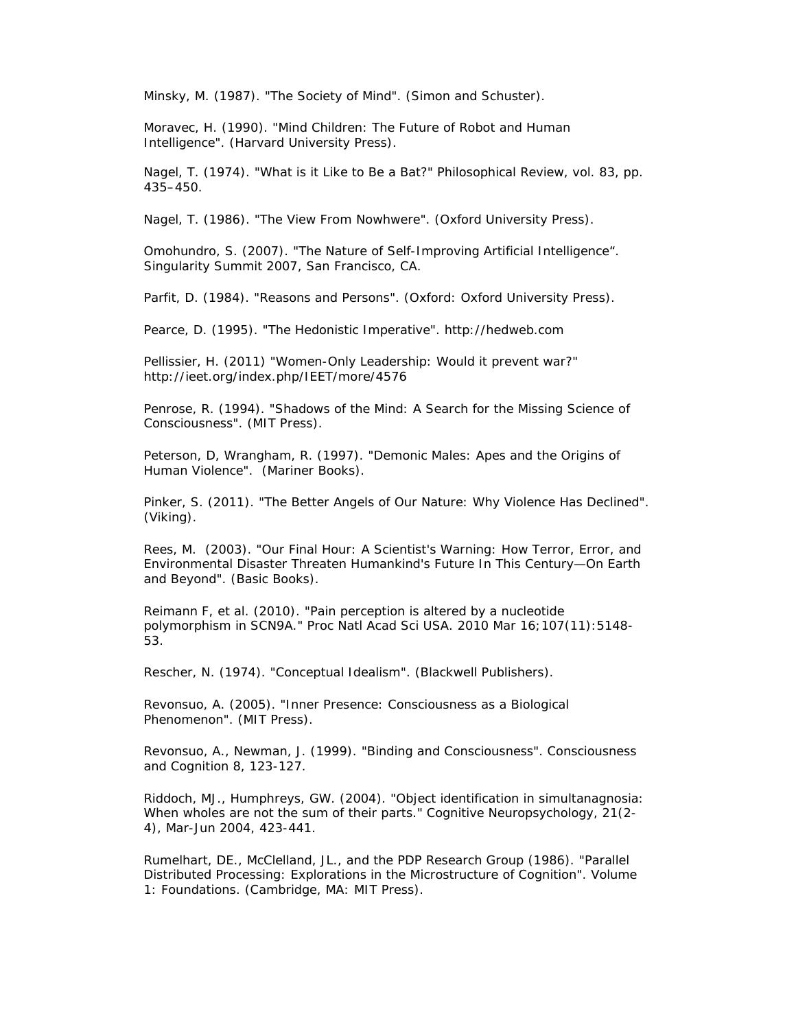Minsky, M. (1987). "The Society of Mind". (Simon and Schuster).

Moravec, H. (1990). "Mind Children: The Future of Robot and Human Intelligence". (Harvard University Press).

Nagel, T. (1974). "What is it Like to Be a Bat?" *Philosophical Review*, vol. 83, pp. 435–450.

Nagel, T. (1986). "The View From Nowhwere". (Oxford University Press).

Omohundro, S. (2007). "The Nature of Self-Improving Artificial Intelligence". Singularity Summit 2007, San Francisco, CA.

Parfit, D. (1984). "Reasons and Persons". (Oxford: Oxford University Press).

Pearce, D. (1995). "The Hedonistic Imperative". http://hedweb.com

Pellissier, H. (2011) "Women-Only Leadership: Would it prevent war?" http://ieet.org/index.php/IEET/more/4576

Penrose, R. (1994). "Shadows of the Mind: A Search for the Missing Science of Consciousness". (MIT Press).

Peterson, D, Wrangham, R. (1997). "Demonic Males: Apes and the Origins of Human Violence". (Mariner Books).

Pinker, S. (2011). "The Better Angels of Our Nature: Why Violence Has Declined". (Viking).

Rees, M. (2003). "Our Final Hour: A Scientist's Warning: How Terror, Error, and Environmental Disaster Threaten Humankind's Future In This Century—On Earth and Beyond". (Basic Books).

Reimann F, *et al*. (2010). "Pain perception is altered by a nucleotide polymorphism in SCN9A." *Proc Natl Acad Sci* USA. 2010 Mar 16;107(11):5148- 53.

Rescher, N. (1974). "Conceptual Idealism". (Blackwell Publishers).

Revonsuo, A. (2005). "Inner Presence: Consciousness as a Biological Phenomenon". (MIT Press).

Revonsuo, A., Newman, J. (1999). "Binding and Consciousness". *Consciousness and Cognition* 8, 123-127.

Riddoch, MJ., Humphreys, GW. (2004). "Object identification in simultanagnosia: When wholes are not the sum of their parts." *Cognitive Neuropsychology*, 21(2- 4), Mar-Jun 2004, 423-441.

Rumelhart, DE., McClelland, JL., and the PDP Research Group (1986). "Parallel Distributed Processing: Explorations in the Microstructure of Cognition". Volume 1: Foundations. (Cambridge, MA: MIT Press).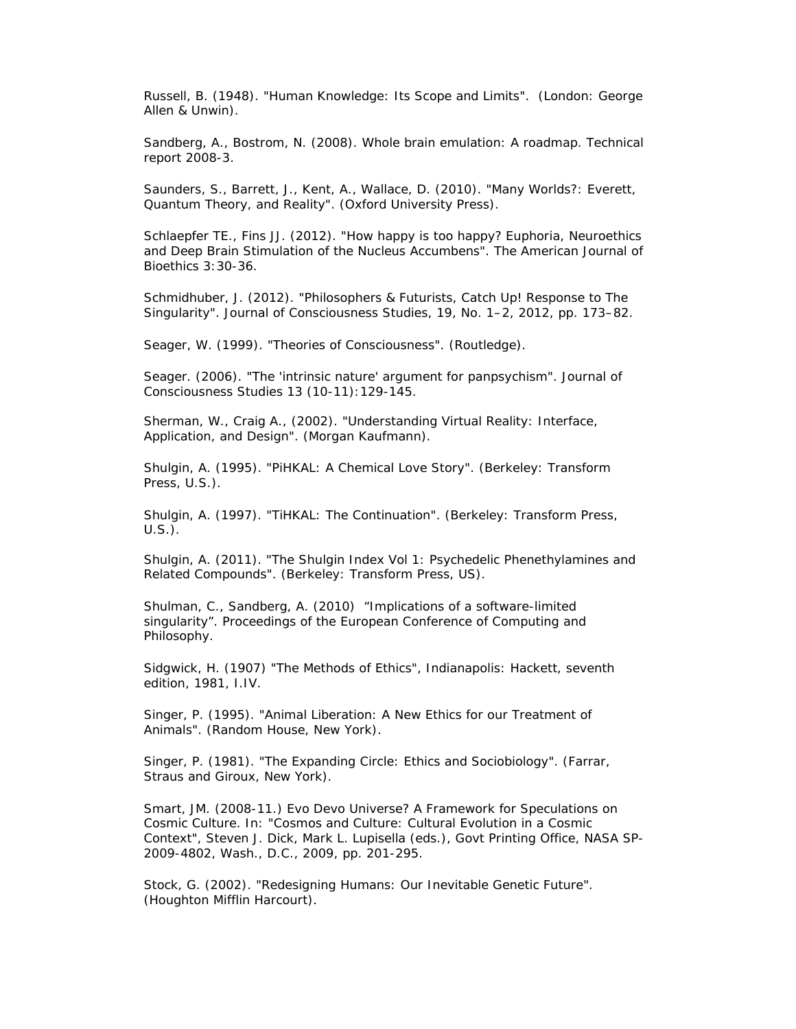Russell, B. (1948). "Human Knowledge: Its Scope and Limits". (London: George Allen & Unwin).

Sandberg, A., Bostrom, N. (2008). Whole brain emulation: A roadmap. Technical report 2008-3.

Saunders, S., Barrett, J., Kent, A., Wallace, D. (2010). "Many Worlds?: Everett, Quantum Theory, and Reality". (Oxford University Press).

Schlaepfer TE., Fins JJ. (2012). "How happy is too happy? Euphoria, Neuroethics and Deep Brain Stimulation of the Nucleus Accumbens". *The American Journal of Bioethics* 3:30-36.

Schmidhuber, J. (2012). "Philosophers & Futurists, Catch Up! Response to The Singularity". *Journal of Consciousness Studies*, 19, No. 1–2, 2012, pp. 173–82.

Seager, W. (1999). "Theories of Consciousness". (Routledge).

Seager. (2006). "The 'intrinsic nature' argument for panpsychism*". Journal of Consciousness Studies 1*3 (10-11):129-145.

Sherman, W., Craig A., (2002). "Understanding Virtual Reality: Interface, Application, and Design". (Morgan Kaufmann).

Shulgin, A. (1995). "PiHKAL: A Chemical Love Story". (Berkeley: Transform Press, U.S.).

Shulgin, A. (1997). "TiHKAL: The Continuation". (Berkeley: Transform Press, U.S.).

Shulgin, A. (2011). "The Shulgin Index Vol 1: Psychedelic Phenethylamines and Related Compounds". (Berkeley: Transform Press, US).

Shulman, C., Sandberg, A. (2010) "Implications of a software-limited singularity". Proceedings of the European Conference of Computing and Philosophy.

Sidgwick, H. (1907) "The Methods of Ethics", Indianapolis: Hackett, seventh edition, 1981, I.IV.

Singer, P. (1995). "Animal Liberation: A New Ethics for our Treatment of Animals". (Random House, New York).

Singer, P*.* (1981). "The Expanding Circle: Ethics and Sociobiology*"*. (Farrar, Straus and Giroux, New York).

Smart, JM. (2008-11.) Evo Devo Universe? A Framework for Speculations on Cosmic Culture. In: "Cosmos and Culture: Cultural Evolution in a Cosmic Context", Steven J. Dick, Mark L. Lupisella (eds.), Govt Printing Office, NASA SP-2009-4802, Wash., D.C., 2009, pp. 201-295.

Stock, G. (2002). "Redesigning Humans: Our Inevitable Genetic Future". (Houghton Mifflin Harcourt).